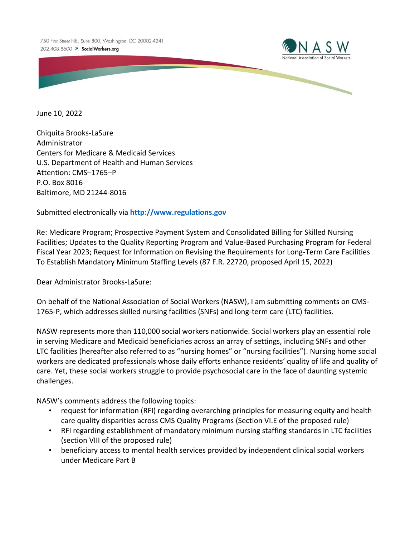

June 10, 2022

Chiquita Brooks-LaSure Administrator Centers for Medicare & Medicaid Services U.S. Department of Health and Human Services Attention: CMS–1765–P P.O. Box 8016 Baltimore, MD 21244-8016

Submitted electronically via **[http://www.regulations.gov](http://www.regulations.gov/)**

Re: Medicare Program; Prospective Payment System and Consolidated Billing for Skilled Nursing Facilities; Updates to the Quality Reporting Program and Value-Based Purchasing Program for Federal Fiscal Year 2023; Request for Information on Revising the Requirements for Long-Term Care Facilities To Establish Mandatory Minimum Staffing Levels (87 F.R. 22720, proposed April 15, 2022)

Dear Administrator Brooks-LaSure:

On behalf of the National Association of Social Workers (NASW), I am submitting comments on CMS-1765-P, which addresses skilled nursing facilities (SNFs) and long-term care (LTC) facilities.

NASW represents more than 110,000 social workers nationwide. Social workers play an essential role in serving Medicare and Medicaid beneficiaries across an array of settings, including SNFs and other LTC facilities (hereafter also referred to as "nursing homes" or "nursing facilities"). Nursing home social workers are dedicated professionals whose daily efforts enhance residents' quality of life and quality of care. Yet, these social workers struggle to provide psychosocial care in the face of daunting systemic challenges.

NASW's comments address the following topics:

- request for information (RFI) regarding overarching principles for measuring equity and health care quality disparities across CMS Quality Programs (Section VI.E of the proposed rule)
- RFI regarding establishment of mandatory minimum nursing staffing standards in LTC facilities (section VIII of the proposed rule)
- beneficiary access to mental health services provided by independent clinical social workers under Medicare Part B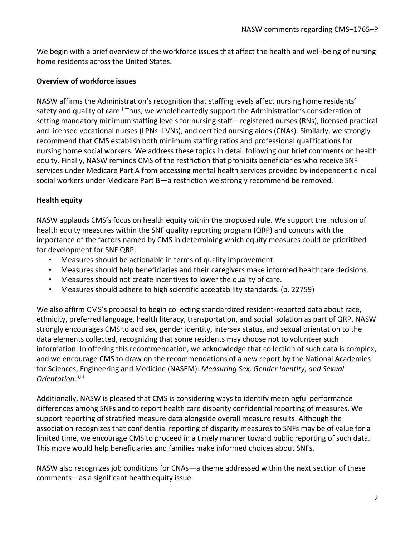We begin with a brief overview of the workforce issues that affect the health and well-being of nursing home residents across the United States.

#### **Overview of workforce issues**

NASW affirms the Administration's recognition that staffing levels affect nursing home residents' safety and quality of care.<sup>i</sup> Thus, we wholeheartedly support the Administration's consideration of setting mandatory minimum staffing levels for nursing staff—registered nurses (RNs), licensed practical and licensed vocational nurses (LPNs–LVNs), and certified nursing aides (CNAs). Similarly, we strongly recommend that CMS establish both minimum staffing ratios and professional qualifications for nursing home social workers. We address these topics in detail following our brief comments on health equity. Finally, NASW reminds CMS of the restriction that prohibits beneficiaries who receive SNF services under Medicare Part A from accessing mental health services provided by independent clinical social workers under Medicare Part B—a restriction we strongly recommend be removed.

## **Health equity**

NASW applauds CMS's focus on health equity within the proposed rule. We support the inclusion of health equity measures within the SNF quality reporting program (QRP) and concurs with the importance of the factors named by CMS in determining which equity measures could be prioritized for development for SNF QRP:

- Measures should be actionable in terms of quality improvement.
- Measures should help beneficiaries and their caregivers make informed healthcare decisions.
- Measures should not create incentives to lower the quality of care.
- Measures should adhere to high scientific acceptability standards. (p. 22759)

We also affirm CMS's proposal to begin collecting standardized resident-reported data about race, ethnicity, preferred language, health literacy, transportation, and social isolation as part of QRP. NASW strongly encourages CMS to add sex, gender identity, intersex status, and sexual orientation to the data elements collected, recognizing that some residents may choose not to volunteer such information. In offering this recommendation, we acknowledge that collection of such data is complex, and we encourage CMS to draw on the recommendations of a new report by the National Academies for Sciences, Engineering and Medicine (NASEM): *Measuring Sex, Gender Identity, and Sexual*  Orientation.<sup>ii,iii</sup>

Additionally, NASW is pleased that CMS is considering ways to identify meaningful performance differences among SNFs and to report health care disparity confidential reporting of measures. We support reporting of stratified measure data alongside overall measure results. Although the association recognizes that confidential reporting of disparity measures to SNFs may be of value for a limited time, we encourage CMS to proceed in a timely manner toward public reporting of such data. This move would help beneficiaries and families make informed choices about SNFs.

NASW also recognizes job conditions for CNAs—a theme addressed within the next section of these comments—as a significant health equity issue.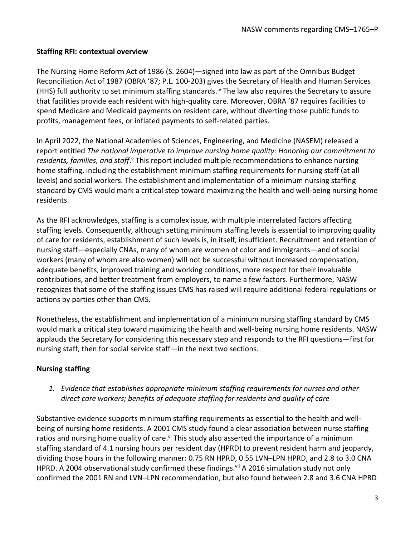### **Staffing RFI: contextual overview**

The Nursing Home Reform Act of 1986 (S. 2604)—signed into law as part of the Omnibus Budget Reconciliation Act of 1987 (OBRA '87; P.L. 100-203) gives the Secretary of Health and Human Services (HHS) full authority to set minimum staffing standards.<sup>iv</sup> The law also requires the Secretary to assure that facilities provide each resident with high-quality care. Moreover, OBRA '87 requires facilities to spend Medicare and Medicaid payments on resident care, without diverting those public funds to profits, management fees, or inflated payments to self-related parties.

In April 2022, the National Academies of Sciences, Engineering, and Medicine (NASEM) released a report entitled *The national imperative to improve nursing home quality: Honoring our commitment to*  residents, families, and staff.<sup>v</sup> This report included multiple recommendations to enhance nursing home staffing, including the establishment minimum staffing requirements for nursing staff (at all levels) and social workers. The establishment and implementation of a minimum nursing staffing standard by CMS would mark a critical step toward maximizing the health and well-being nursing home residents.

As the RFI acknowledges, staffing is a complex issue, with multiple interrelated factors affecting staffing levels. Consequently, although setting minimum staffing levels is essential to improving quality of care for residents, establishment of such levels is, in itself, insufficient. Recruitment and retention of nursing staff—especially CNAs, many of whom are women of color and immigrants—and of social workers (many of whom are also women) will not be successful without increased compensation, adequate benefits, improved training and working conditions, more respect for their invaluable contributions, and better treatment from employers, to name a few factors. Furthermore, NASW recognizes that some of the staffing issues CMS has raised will require additional federal regulations or actions by parties other than CMS.

Nonetheless, the establishment and implementation of a minimum nursing staffing standard by CMS would mark a critical step toward maximizing the health and well-being nursing home residents. NASW applauds the Secretary for considering this necessary step and responds to the RFI questions—first for nursing staff, then for social service staff—in the next two sections.

## **Nursing staffing**

*1. Evidence that establishes appropriate minimum staffing requirements for nurses and other direct care workers; benefits of adequate staffing for residents and quality of care*

Substantive evidence supports minimum staffing requirements as essential to the health and wellbeing of nursing home residents. A 2001 CMS study found a clear association between nurse staffing ratios and nursing home quality of care.<sup>vi</sup> This study also asserted the importance of a minimum staffing standard of 4.1 nursing hours per resident day (HPRD) to prevent resident harm and jeopardy, dividing those hours in the following manner: 0.75 RN HPRD, 0.55 LVN–LPN HPRD, and 2.8 to 3.0 CNA HPRD. A 2004 observational study confirmed these findings.<sup>vii</sup> A 2016 simulation study not only confirmed the 2001 RN and LVN–LPN recommendation, but also found between 2.8 and 3.6 CNA HPRD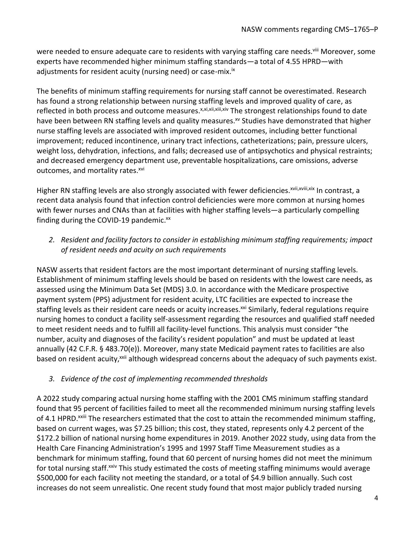were needed to ensure adequate care to residents with varying staffing care needs.<sup>viii</sup> Moreover, some experts have recommended higher minimum staffing standards—a total of 4.55 HPRD—with adjustments for resident acuity (nursing need) or case-mix.<sup>ix</sup>

The benefits of minimum staffing requirements for nursing staff cannot be overestimated. Research has found a strong relationship between nursing staffing levels and improved quality of care, as reflected in both process and outcome measures.<sup>x,xi,xii,xii,xiv</sup> The strongest relationships found to date have been between RN staffing levels and quality measures.<sup>xv</sup> Studies have demonstrated that higher nurse staffing levels are associated with improved resident outcomes, including better functional improvement; reduced incontinence, urinary tract infections, catheterizations; pain, pressure ulcers, weight loss, dehydration, infections, and falls; decreased use of antipsychotics and physical restraints; and decreased emergency department use, preventable hospitalizations, care omissions, adverse outcomes, and mortality rates.<sup>xvi</sup>

Higher RN staffing levels are also strongly associated with fewer deficiencies.<sup>xvii,xvii,xix</sup> In contrast, a recent data analysis found that infection control deficiencies were more common at nursing homes with fewer nurses and CNAs than at facilities with higher staffing levels—a particularly compelling finding during the COVID-19 pandemic.<sup>xx</sup>

*2. Resident and facility factors to consider in establishing minimum staffing requirements; impact of resident needs and acuity on such requirements*

NASW asserts that resident factors are the most important determinant of nursing staffing levels. Establishment of minimum staffing levels should be based on residents with the lowest care needs, as assessed using the Minimum Data Set (MDS) 3.0. In accordance with the Medicare prospective payment system (PPS) adjustment for resident acuity, LTC facilities are expected to increase the staffing levels as their resident care needs or acuity increases.<sup>xxi</sup> Similarly, federal regulations require nursing homes to conduct a facility self-assessment regarding the resources and qualified staff needed to meet resident needs and to fulfill all facility-level functions. This analysis must consider "the number, acuity and diagnoses of the facility's resident population" and must be updated at least annually (42 C.F.R. § 483.70(e)). Moreover, many state Medicaid payment rates to facilities are also based on resident acuity,<sup>xxii</sup> although widespread concerns about the adequacy of such payments exist.

## *3. Evidence of the cost of implementing recommended thresholds*

A 2022 study comparing actual nursing home staffing with the 2001 CMS minimum staffing standard found that 95 percent of facilities failed to meet all the recommended minimum nursing staffing levels of 4.1 HPRD.<sup>xxiii</sup> The researchers estimated that the cost to attain the recommended minimum staffing, based on current wages, was \$7.25 billion; this cost, they stated, represents only 4.2 percent of the \$172.2 billion of national nursing home expenditures in 2019. Another 2022 study, using data from the Health Care Financing Administration's 1995 and 1997 Staff Time Measurement studies as a benchmark for minimum staffing, found that 60 percent of nursing homes did not meet the minimum for total nursing staff.<sup>xxiv</sup> This study estimated the costs of meeting staffing minimums would average \$500,000 for each facility not meeting the standard, or a total of \$4.9 billion annually. Such cost increases do not seem unrealistic. One recent study found that most major publicly traded nursing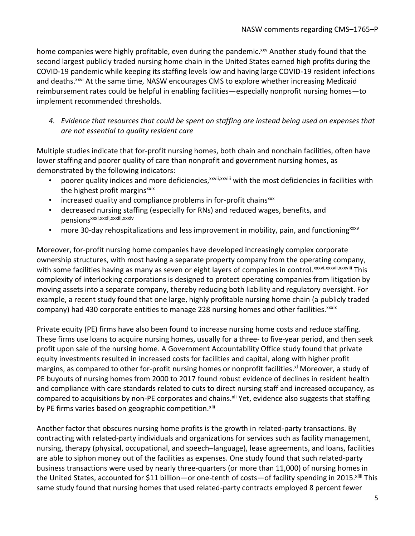home companies were highly profitable, even during the pandemic.<sup>xxv</sup> Another study found that the second largest publicly traded nursing home chain in the United States earned high profits during the COVID-19 pandemic while keeping its staffing levels low and having large COVID-19 resident infections and deaths.<sup>xxvi</sup> At the same time, NASW encourages CMS to explore whether increasing Medicaid reimbursement rates could be helpful in enabling facilities—especially nonprofit nursing homes—to implement recommended thresholds.

*4. Evidence that resources that could be spent on staffing are instead being used on expenses that are not essential to quality resident care*

Multiple studies indicate that for-profit nursing homes, both chain and nonchain facilities, often have lower staffing and poorer quality of care than nonprofit and government nursing homes, as demonstrated by the following indicators:

- poorer quality indices and more deficiencies, xxvii, xxviii with the most deficiencies in facilities with the highest profit margins<sup>xxix</sup>
- increased quality and compliance problems in for-profit chainsxxx
- decreased nursing staffing (especially for RNs) and reduced wages, benefits, and pensionsxxxi,xxxii,xxxii,xxxiv
- more 30-day rehospitalizations and less improvement in mobility, pain, and functioning<sup>xxxv</sup>

Moreover, for-profit nursing home companies have developed increasingly complex corporate ownership structures, with most having a separate property company from the operating company, with some facilities having as many as seven or eight layers of companies in control. xxxvi,xxxvii,xxxviii This complexity of interlocking corporations is designed to protect operating companies from litigation by moving assets into a separate company, thereby reducing both liability and regulatory oversight. For example, a recent study found that one large, highly profitable nursing home chain (a publicly traded company) had 430 corporate entities to manage 228 nursing homes and other facilities.<sup>xxxix</sup>

Private equity (PE) firms have also been found to increase nursing home costs and reduce staffing. These firms use loans to acquire nursing homes, usually for a three- to five-year period, and then seek profit upon sale of the nursing home. A Government Accountability Office study found that private equity investments resulted in increased costs for facilities and capital, along with higher profit margins, as compared to other for-profit nursing homes or nonprofit facilities.<sup>xl</sup> Moreover, a study of PE buyouts of nursing homes from 2000 to 2017 found robust evidence of declines in resident health and compliance with care standards related to cuts to direct nursing staff and increased occupancy, as compared to acquisitions by non-PE corporates and chains.<sup>xli</sup> Yet, evidence also suggests that staffing by PE firms varies based on geographic competition.<sup>xlii</sup>

Another factor that obscures nursing home profits is the growth in related-party transactions. By contracting with related-party individuals and organizations for services such as facility management, nursing, therapy (physical, occupational, and speech–language), lease agreements, and loans, facilities are able to siphon money out of the facilities as expenses. One study found that such related-party business transactions were used by nearly three-quarters (or more than 11,000) of nursing homes in the United States, accounted for \$11 billion—or one-tenth of costs—of facility spending in 2015. Xiii This same study found that nursing homes that used related-party contracts employed 8 percent fewer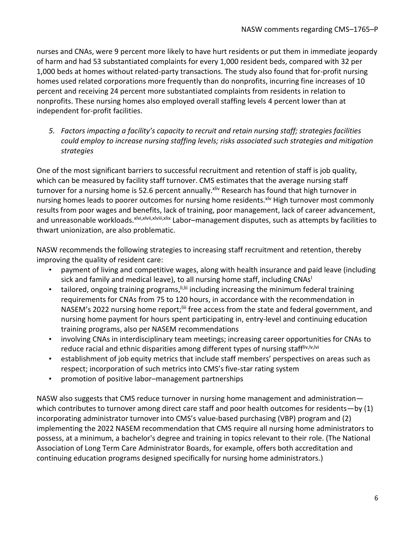nurses and CNAs, were 9 percent more likely to have hurt residents or put them in immediate jeopardy of harm and had 53 substantiated complaints for every 1,000 resident beds, compared with 32 per 1,000 beds at homes without related-party transactions. The study also found that for-profit nursing homes used related corporations more frequently than do nonprofits, incurring fine increases of 10 percent and receiving 24 percent more substantiated complaints from residents in relation to nonprofits. These nursing homes also employed overall staffing levels 4 percent lower than at independent for-profit facilities.

*5. Factors impacting a facility's capacity to recruit and retain nursing staff; strategies facilities could employ to increase nursing staffing levels; risks associated such strategies and mitigation strategies*

One of the most significant barriers to successful recruitment and retention of staff is job quality, which can be measured by facility staff turnover. CMS estimates that the average nursing staff turnover for a nursing home is 52.6 percent annually. Xiv Research has found that high turnover in nursing homes leads to poorer outcomes for nursing home residents.<sup>xlv</sup> High turnover most commonly results from poor wages and benefits, lack of training, poor management, lack of career advancement, and unreasonable workloads.<sup>xlvi,xlvii,xlvii,xlix</sup> Labor–management disputes, such as attempts by facilities to thwart unionization, are also problematic.

NASW recommends the following strategies to increasing staff recruitment and retention, thereby improving the quality of resident care:

- payment of living and competitive wages, along with health insurance and paid leave (including sick and family and medical leave), to all nursing home staff, including CNAs<sup>1</sup>
- tailored, ongoing training programs, ii, iii including increasing the minimum federal training requirements for CNAs from 75 to 120 hours, in accordance with the recommendation in NASEM's 2022 nursing home report;<sup>liii</sup> free access from the state and federal government, and nursing home payment for hours spent participating in, entry-level and continuing education training programs, also per NASEM recommendations
- involving CNAs in interdisciplinary team meetings; increasing career opportunities for CNAs to reduce racial and ethnic disparities among different types of nursing staffliv, Iv, Ivi
- establishment of job equity metrics that include staff members' perspectives on areas such as respect; incorporation of such metrics into CMS's five-star rating system
- promotion of positive labor–management partnerships

NASW also suggests that CMS reduce turnover in nursing home management and administration which contributes to turnover among direct care staff and poor health outcomes for residents—by (1) incorporating administrator turnover into CMS's value-based purchasing (VBP) program and (2) implementing the 2022 NASEM recommendation that CMS require all nursing home administrators to possess, at a minimum, a bachelor's degree and training in topics relevant to their role. (The National Association of Long Term Care Administrator Boards, for example, offers both accreditation and continuing education programs designed specifically for nursing home administrators.)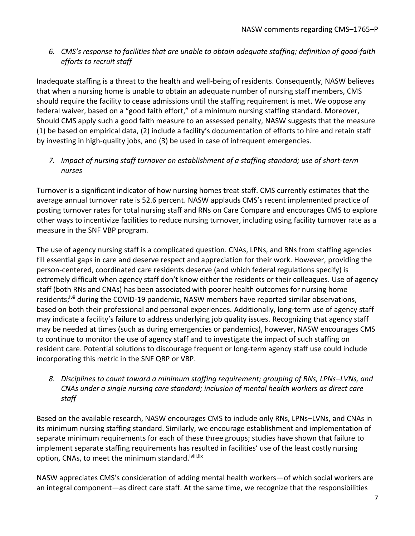6. *CMS's response to facilities that are unable to obtain adequate staffing; definition of good-faith efforts to recruit staff*

Inadequate staffing is a threat to the health and well-being of residents. Consequently, NASW believes that when a nursing home is unable to obtain an adequate number of nursing staff members, CMS should require the facility to cease admissions until the staffing requirement is met. We oppose any federal waiver, based on a "good faith effort," of a minimum nursing staffing standard. Moreover, Should CMS apply such a good faith measure to an assessed penalty, NASW suggests that the measure (1) be based on empirical data, (2) include a facility's documentation of efforts to hire and retain staff by investing in high-quality jobs, and (3) be used in case of infrequent emergencies.

*7. Impact of nursing staff turnover on establishment of a staffing standard; use of short-term nurses*

Turnover is a significant indicator of how nursing homes treat staff. CMS currently estimates that the average annual turnover rate is 52.6 percent. NASW applauds CMS's recent implemented practice of posting turnover rates for total nursing staff and RNs on Care Compare and encourages CMS to explore other ways to incentivize facilities to reduce nursing turnover, including using facility turnover rate as a measure in the SNF VBP program.

The use of agency nursing staff is a complicated question. CNAs, LPNs, and RNs from staffing agencies fill essential gaps in care and deserve respect and appreciation for their work. However, providing the person-centered, coordinated care residents deserve (and which federal regulations specify) is extremely difficult when agency staff don't know either the residents or their colleagues. Use of agency staff (both RNs and CNAs) has been associated with poorer health outcomes for nursing home residents;<sup>Ivii</sup> during the COVID-19 pandemic, NASW members have reported similar observations, based on both their professional and personal experiences. Additionally, long-term use of agency staff may indicate a facility's failure to address underlying job quality issues. Recognizing that agency staff may be needed at times (such as during emergencies or pandemics), however, NASW encourages CMS to continue to monitor the use of agency staff and to investigate the impact of such staffing on resident care. Potential solutions to discourage frequent or long-term agency staff use could include incorporating this metric in the SNF QRP or VBP.

*8. Disciplines to count toward a minimum staffing requirement; grouping of RNs, LPNs–LVNs, and CNAs under a single nursing care standard; inclusion of mental health workers as direct care staff*

Based on the available research, NASW encourages CMS to include only RNs, LPNs–LVNs, and CNAs in its minimum nursing staffing standard. Similarly, we encourage establishment and implementation of separate minimum requirements for each of these three groups; studies have shown that failure to implement separate staffing requirements has resulted in facilities' use of the least costly nursing option, CNAs, to meet the minimum standard.<sup>Iviii,lix</sup>

NASW appreciates CMS's consideration of adding mental health workers—of which social workers are an integral component—as direct care staff. At the same time, we recognize that the responsibilities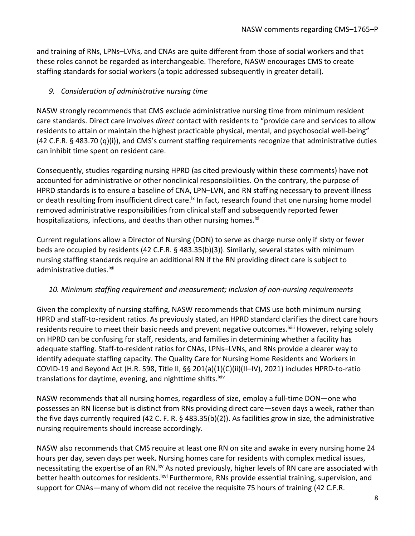and training of RNs, LPNs–LVNs, and CNAs are quite different from those of social workers and that these roles cannot be regarded as interchangeable. Therefore, NASW encourages CMS to create staffing standards for social workers (a topic addressed subsequently in greater detail).

## *9. Consideration of administrative nursing time*

NASW strongly recommends that CMS exclude administrative nursing time from minimum resident care standards. Direct care involves *direct* contact with residents to "provide care and services to allow residents to attain or maintain the highest practicable physical, mental, and psychosocial well-being" (42 C.F.R. § 483.70 (q)(i)), and CMS's current staffing requirements recognize that administrative duties can inhibit time spent on resident care.

Consequently, studies regarding nursing HPRD (as cited previously within these comments) have not accounted for administrative or other nonclinical responsibilities. On the contrary, the purpose of HPRD standards is to ensure a baseline of CNA, LPN–LVN, and RN staffing necessary to prevent illness or death resulting from insufficient direct care.<sup>1x</sup> In fact, research found that one nursing home model removed administrative responsibilities from clinical staff and subsequently reported fewer hospitalizations, infections, and deaths than other nursing homes.<sup>|xi</sup>

Current regulations allow a Director of Nursing (DON) to serve as charge nurse only if sixty or fewer beds are occupied by residents (42 C.F.R. § 483.35(b)(3)). Similarly, several states with minimum nursing staffing standards require an additional RN if the RN providing direct care is subject to administrative duties.<sup>Ixii</sup>

## *10. Minimum staffing requirement and measurement; inclusion of non-nursing requirements*

Given the complexity of nursing staffing, NASW recommends that CMS use both minimum nursing HPRD and staff-to-resident ratios. As previously stated, an HPRD standard clarifies the direct care hours residents require to meet their basic needs and prevent negative outcomes. Kill However, relying solely on HPRD can be confusing for staff, residents, and families in determining whether a facility has adequate staffing. Staff-to-resident ratios for CNAs, LPNs–LVNs, and RNs provide a clearer way to identify adequate staffing capacity. The Quality Care for Nursing Home Residents and Workers in COVID-19 and Beyond Act (H.R. 598, Title II, §§ 201(a)(1)(C)(ii)(II–IV), 2021) includes HPRD-to-ratio translations for daytime, evening, and nighttime shifts.<sup>|xiv</sup>

NASW recommends that all nursing homes, regardless of size, employ a full-time DON—one who possesses an RN license but is distinct from RNs providing direct care—seven days a week, rather than the five days currently required (42 C. F. R. § 483.35(b)(2)). As facilities grow in size, the administrative nursing requirements should increase accordingly.

NASW also recommends that CMS require at least one RN on site and awake in every nursing home 24 hours per day, seven days per week. Nursing homes care for residents with complex medical issues, necessitating the expertise of an RN.<sup>Ixv</sup> As noted previously, higher levels of RN care are associated with better health outcomes for residents.<sup>Ixvi</sup> Furthermore, RNs provide essential training, supervision, and support for CNAs—many of whom did not receive the requisite 75 hours of training (42 C.F.R.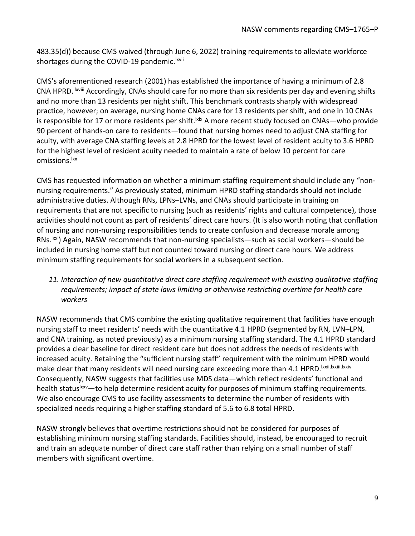483.35(d)) because CMS waived (through June 6, 2022) training requirements to alleviate workforce shortages during the COVID-19 pandemic. <sup>Ixvii</sup>

CMS's aforementioned research (2001) has established the importance of having a minimum of 2.8 CNA HPRD. <sup>Ixviii</sup> Accordingly, CNAs should care for no more than six residents per day and evening shifts and no more than 13 residents per night shift. This benchmark contrasts sharply with widespread practice, however; on average, nursing home CNAs care for 13 residents per shift, and one in 10 CNAs is responsible for 17 or more residents per shift.<sup>Ixix</sup> A more recent study focused on CNAs—who provide 90 percent of hands-on care to residents—found that nursing homes need to adjust CNA staffing for acuity, with average CNA staffing levels at 2.8 HPRD for the lowest level of resident acuity to 3.6 HPRD for the highest level of resident acuity needed to maintain a rate of below 10 percent for care omissions.<sup>lxx</sup>

CMS has requested information on whether a minimum staffing requirement should include any "nonnursing requirements." As previously stated, minimum HPRD staffing standards should not include administrative duties. Although RNs, LPNs–LVNs, and CNAs should participate in training on requirements that are not specific to nursing (such as residents' rights and cultural competence), those activities should not count as part of residents' direct care hours. (It is also worth noting that conflation of nursing and non-nursing responsibilities tends to create confusion and decrease morale among RNs.lxxi) Again, NASW recommends that non-nursing specialists—such as social workers—should be included in nursing home staff but not counted toward nursing or direct care hours. We address minimum staffing requirements for social workers in a subsequent section.

*11. Interaction of new quantitative direct care staffing requirement with existing qualitative staffing requirements; impact of state laws limiting or otherwise restricting overtime for health care workers*

NASW recommends that CMS combine the existing qualitative requirement that facilities have enough nursing staff to meet residents' needs with the quantitative 4.1 HPRD (segmented by RN, LVN–LPN, and CNA training, as noted previously) as a minimum nursing staffing standard. The 4.1 HPRD standard provides a clear baseline for direct resident care but does not address the needs of residents with increased acuity. Retaining the "sufficient nursing staff" requirement with the minimum HPRD would make clear that many residents will need nursing care exceeding more than 4.1 HPRD. Ixxii, Ixxiii, Ixxiv Consequently, NASW suggests that facilities use MDS data—which reflect residents' functional and health status<sup>1xxv</sup>—to help determine resident acuity for purposes of minimum staffing requirements. We also encourage CMS to use facility assessments to determine the number of residents with specialized needs requiring a higher staffing standard of 5.6 to 6.8 total HPRD.

NASW strongly believes that overtime restrictions should not be considered for purposes of establishing minimum nursing staffing standards. Facilities should, instead, be encouraged to recruit and train an adequate number of direct care staff rather than relying on a small number of staff members with significant overtime.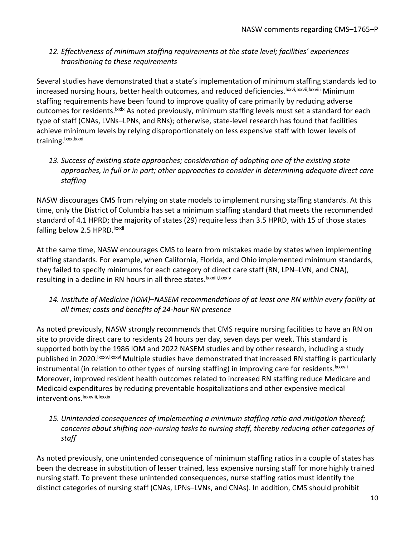## *12. Effectiveness of minimum staffing requirements at the state level; facilities' experiences transitioning to these requirements*

Several studies have demonstrated that a state's implementation of minimum staffing standards led to increased nursing hours, better health outcomes, and reduced deficiencies. Ixxvi, Ixxvii, Ixxviii Minimum staffing requirements have been found to improve quality of care primarily by reducing adverse outcomes for residents.<sup>Ixxix</sup> As noted previously, minimum staffing levels must set a standard for each type of staff (CNAs, LVNs–LPNs, and RNs); otherwise, state-level research has found that facilities achieve minimum levels by relying disproportionately on less expensive staff with lower levels of training.<sup>|xxx,|xxxi</sup>

*13. Success of existing state approaches; consideration of adopting one of the existing state approaches, in full or in part; other approaches to consider in determining adequate direct care staffing*

NASW discourages CMS from relying on state models to implement nursing staffing standards. At this time, only the District of Columbia has set a minimum staffing standard that meets the recommended standard of 4.1 HPRD; the majority of states (29) require less than 3.5 HPRD, with 15 of those states falling below 2.5 HPRD. Ixxxii

At the same time, NASW encourages CMS to learn from mistakes made by states when implementing staffing standards. For example, when California, Florida, and Ohio implemented minimum standards, they failed to specify minimums for each category of direct care staff (RN, LPN–LVN, and CNA), resulting in a decline in RN hours in all three states.<sup>Ixxxiii,Ixxxiv</sup>

*14. Institute of Medicine (IOM)–NASEM recommendations of at least one RN within every facility at all times; costs and benefits of 24-hour RN presence*

As noted previously, NASW strongly recommends that CMS require nursing facilities to have an RN on site to provide direct care to residents 24 hours per day, seven days per week. This standard is supported both by the 1986 IOM and 2022 NASEM studies and by other research, including a study published in 2020.<sup>Ixxxv,Ixxxvi</sup> Multiple studies have demonstrated that increased RN staffing is particularly instrumental (in relation to other types of nursing staffing) in improving care for residents.<sup>Ixxxvii</sup> Moreover, improved resident health outcomes related to increased RN staffing reduce Medicare and Medicaid expenditures by reducing preventable hospitalizations and other expensive medical interventions.<sup>Ixxxviii,lxxxix</sup>

*15. Unintended consequences of implementing a minimum staffing ratio and mitigation thereof; concerns about shifting non-nursing tasks to nursing staff, thereby reducing other categories of staff*

As noted previously, one unintended consequence of minimum staffing ratios in a couple of states has been the decrease in substitution of lesser trained, less expensive nursing staff for more highly trained nursing staff. To prevent these unintended consequences, nurse staffing ratios must identify the distinct categories of nursing staff (CNAs, LPNs–LVNs, and CNAs). In addition, CMS should prohibit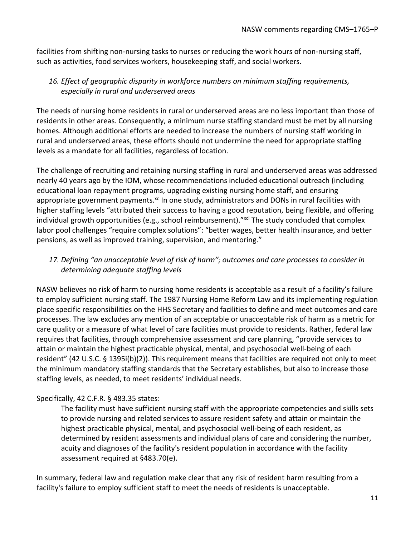facilities from shifting non-nursing tasks to nurses or reducing the work hours of non-nursing staff, such as activities, food services workers, housekeeping staff, and social workers.

# *16. Effect of geographic disparity in workforce numbers on minimum staffing requirements, especially in rural and underserved areas*

The needs of nursing home residents in rural or underserved areas are no less important than those of residents in other areas. Consequently, a minimum nurse staffing standard must be met by all nursing homes. Although additional efforts are needed to increase the numbers of nursing staff working in rural and underserved areas, these efforts should not undermine the need for appropriate staffing levels as a mandate for all facilities, regardless of location.

The challenge of recruiting and retaining nursing staffing in rural and underserved areas was addressed nearly 40 years ago by the IOM, whose recommendations included educational outreach (including educational loan repayment programs, upgrading existing nursing home staff, and ensuring appropriate government payments.<sup>xc</sup> In one study, administrators and DONs in rural facilities with higher staffing levels "attributed their success to having a good reputation, being flexible, and offering individual growth opportunities (e.g., school reimbursement). <sup>"xci</sup> The study concluded that complex labor pool challenges "require complex solutions": "better wages, better health insurance, and better pensions, as well as improved training, supervision, and mentoring."

# *17. Defining "an unacceptable level of risk of harm"; outcomes and care processes to consider in determining adequate staffing levels*

NASW believes no risk of harm to nursing home residents is acceptable as a result of a facility's failure to employ sufficient nursing staff. The 1987 Nursing Home Reform Law and its implementing regulation place specific responsibilities on the HHS Secretary and facilities to define and meet outcomes and care processes. The law excludes any mention of an acceptable or unacceptable risk of harm as a metric for care quality or a measure of what level of care facilities must provide to residents. Rather, federal law requires that facilities, through comprehensive assessment and care planning, "provide services to attain or maintain the highest practicable physical, mental, and psychosocial well-being of each resident" (42 U.S.C. § 1395i(b)(2)). This requirement means that facilities are required not only to meet the minimum mandatory staffing standards that the Secretary establishes, but also to increase those staffing levels, as needed, to meet residents' individual needs.

## Specifically, 42 C.F.R. § 483.35 states:

The facility must have sufficient nursing staff with the appropriate competencies and skills sets to provide nursing and related services to assure resident safety and attain or maintain the highest practicable physical, mental, and psychosocial well-being of each resident, as determined by resident assessments and individual plans of care and considering the number, acuity and diagnoses of the facility's resident population in accordance with the facility assessment required at §483.70(e).

In summary, federal law and regulation make clear that any risk of resident harm resulting from a facility's failure to employ sufficient staff to meet the needs of residents is unacceptable.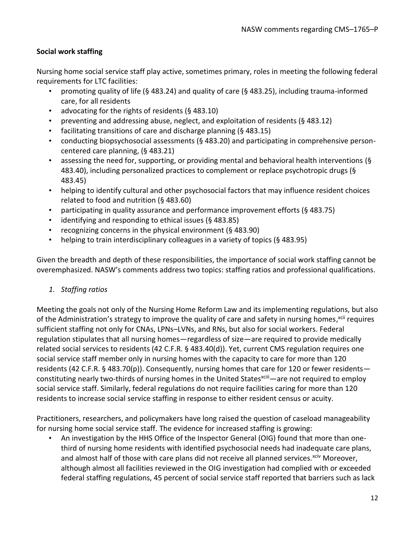## **Social work staffing**

Nursing home social service staff play active, sometimes primary, roles in meeting the following federal requirements for LTC facilities:

- promoting quality of life (§ 483.24) and quality of care (§ 483.25), including trauma-informed care, for all residents
- advocating for the rights of residents (§ 483.10)
- preventing and addressing abuse, neglect, and exploitation of residents (§ 483.12)
- facilitating transitions of care and discharge planning (§ 483.15)
- conducting biopsychosocial assessments (§ 483.20) and participating in comprehensive personcentered care planning, (§ 483.21)
- assessing the need for, supporting, or providing mental and behavioral health interventions (§ 483.40), including personalized practices to complement or replace psychotropic drugs (§ 483.45)
- helping to identify cultural and other psychosocial factors that may influence resident choices related to food and nutrition (§ 483.60)
- participating in quality assurance and performance improvement efforts (§ 483.75)
- identifying and responding to ethical issues (§ 483.85)
- recognizing concerns in the physical environment (§ 483.90)
- helping to train interdisciplinary colleagues in a variety of topics (§ 483.95)

Given the breadth and depth of these responsibilities, the importance of social work staffing cannot be overemphasized. NASW's comments address two topics: staffing ratios and professional qualifications.

## *1. Staffing ratios*

Meeting the goals not only of the Nursing Home Reform Law and its implementing regulations, but also of the Administration's strategy to improve the quality of care and safety in nursing homes,<sup>xcii</sup> requires sufficient staffing not only for CNAs, LPNs–LVNs, and RNs, but also for social workers. Federal regulation stipulates that all nursing homes—regardless of size—are required to provide medically related social services to residents (42 C.F.R. § 483.40(d)). Yet, current CMS regulation requires one social service staff member only in nursing homes with the capacity to care for more than 120 residents (42 C.F.R. § 483.70(p)). Consequently, nursing homes that care for 120 or fewer residents constituting nearly two-thirds of nursing homes in the United States<sup>xciii</sup>—are not required to employ social service staff. Similarly, federal regulations do not require facilities caring for more than 120 residents to increase social service staffing in response to either resident census or acuity.

Practitioners, researchers, and policymakers have long raised the question of caseload manageability for nursing home social service staff. The evidence for increased staffing is growing:

• An investigation by the HHS Office of the Inspector General (OIG) found that more than onethird of nursing home residents with identified psychosocial needs had inadequate care plans, and almost half of those with care plans did not receive all planned services.<sup>xciv</sup> Moreover, although almost all facilities reviewed in the OIG investigation had complied with or exceeded federal staffing regulations, 45 percent of social service staff reported that barriers such as lack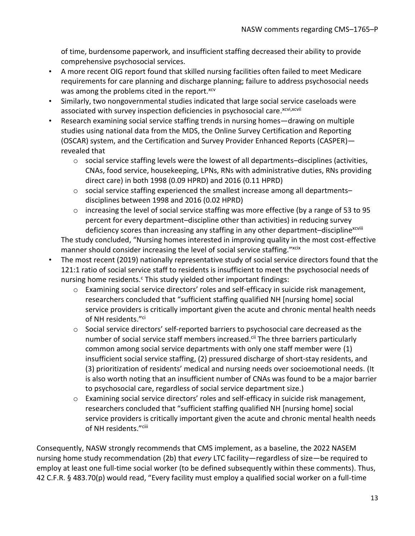of time, burdensome paperwork, and insufficient staffing decreased their ability to provide comprehensive psychosocial services.

- A more recent OIG report found that skilled nursing facilities often failed to meet Medicare requirements for care planning and discharge planning; failure to address psychosocial needs was among the problems cited in the report.<sup>xcv</sup>
- Similarly, two nongovernmental studies indicated that large social service caseloads were associated with survey inspection deficiencies in psychosocial care.<sup>xcvi,xcvii</sup>
- Research examining social service staffing trends in nursing homes—drawing on multiple studies using national data from the MDS, the Online Survey Certification and Reporting (OSCAR) system, and the Certification and Survey Provider Enhanced Reports (CASPER) revealed that
	- $\circ$  social service staffing levels were the lowest of all departments–disciplines (activities, CNAs, food service, housekeeping, LPNs, RNs with administrative duties, RNs providing direct care) in both 1998 (0.09 HPRD) and 2016 (0.11 HPRD)
	- $\circ$  social service staffing experienced the smallest increase among all departments– disciplines between 1998 and 2016 (0.02 HPRD)
	- $\circ$  increasing the level of social service staffing was more effective (by a range of 53 to 95 percent for every department–discipline other than activities) in reducing survey deficiency scores than increasing any staffing in any other department-discipline<sup>xcviii</sup>

The study concluded, "Nursing homes interested in improving quality in the most cost-effective manner should consider increasing the level of social service staffing." xcix

- The most recent (2019) nationally representative study of social service directors found that the 121:1 ratio of social service staff to residents is insufficient to meet the psychosocial needs of nursing home residents. $c$  This study yielded other important findings:
	- o Examining social service directors' roles and self-efficacy in suicide risk management, researchers concluded that "sufficient staffing qualified NH [nursing home] social service providers is critically important given the acute and chronic mental health needs of NH residents." ci
	- $\circ$  Social service directors' self-reported barriers to psychosocial care decreased as the number of social service staff members increased.<sup>cii</sup> The three barriers particularly common among social service departments with only one staff member were (1) insufficient social service staffing, (2) pressured discharge of short-stay residents, and (3) prioritization of residents' medical and nursing needs over socioemotional needs. (It is also worth noting that an insufficient number of CNAs was found to be a major barrier to psychosocial care, regardless of social service department size.)
	- $\circ$  Examining social service directors' roles and self-efficacy in suicide risk management, researchers concluded that "sufficient staffing qualified NH [nursing home] social service providers is critically important given the acute and chronic mental health needs of NH residents."<sup>ciii</sup>

Consequently, NASW strongly recommends that CMS implement, as a baseline, the 2022 NASEM nursing home study recommendation (2b) that *every* LTC facility—regardless of size—be required to employ at least one full-time social worker (to be defined subsequently within these comments). Thus, 42 C.F.R. § 483.70(p) would read, "Every facility must employ a qualified social worker on a full-time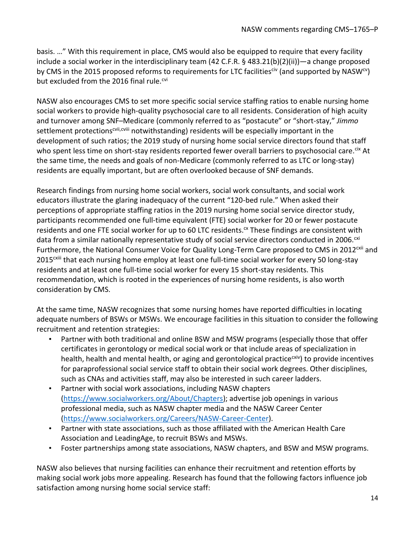basis. …" With this requirement in place, CMS would also be equipped to require that every facility include a social worker in the interdisciplinary team (42 C.F.R. § 483.21(b)(2)(ii))—a change proposed by CMS in the 2015 proposed reforms to requirements for LTC facilities<sup>civ</sup> (and supported by NASW<sup>cv</sup>) but excluded from the 2016 final rule.<sup> $\text{cvi}$ </sup>

NASW also encourages CMS to set more specific social service staffing ratios to enable nursing home social workers to provide high-quality psychosocial care to all residents. Consideration of high acuity and turnover among SNF–Medicare (commonly referred to as "postacute" or "short-stay," *Jimmo* settlement protections<sup>cvii,cviii</sup> notwithstanding) residents will be especially important in the development of such ratios; the 2019 study of nursing home social service directors found that staff who spent less time on short-stay residents reported fewer overall barriers to psychosocial care.<sup>cix</sup> At the same time, the needs and goals of non-Medicare (commonly referred to as LTC or long-stay) residents are equally important, but are often overlooked because of SNF demands.

Research findings from nursing home social workers, social work consultants, and social work educators illustrate the glaring inadequacy of the current "120-bed rule." When asked their perceptions of appropriate staffing ratios in the 2019 nursing home social service director study, participants recommended one full-time equivalent (FTE) social worker for 20 or fewer postacute residents and one FTE social worker for up to 60 LTC residents. $\alpha$  These findings are consistent with data from a similar nationally representative study of social service directors conducted in 2006.<sup>cxi</sup> Furthermore, the National Consumer Voice for Quality Long-Term Care proposed to CMS in 2012<sup>cxii</sup> and 2015<sup>cxiii</sup> that each nursing home employ at least one full-time social worker for every 50 long-stay residents and at least one full-time social worker for every 15 short-stay residents. This recommendation, which is rooted in the experiences of nursing home residents, is also worth consideration by CMS.

At the same time, NASW recognizes that some nursing homes have reported difficulties in locating adequate numbers of BSWs or MSWs. We encourage facilities in this situation to consider the following recruitment and retention strategies:

- Partner with both traditional and online BSW and MSW programs (especially those that offer certificates in gerontology or medical social work or that include areas of specialization in health, health and mental health, or aging and gerontological practice<sup>cxiv</sup>) to provide incentives for paraprofessional social service staff to obtain their social work degrees. Other disciplines, such as CNAs and activities staff, may also be interested in such career ladders.
- Partner with social work associations, including NASW chapters [\(https://www.socialworkers.org/About/Chapters\)](https://www.socialworkers.org/About/Chapters); advertise job openings in various professional media, such as NASW chapter media and the NASW Career Center [\(https://www.socialworkers.org/Careers/NASW-Career-Center\)](https://www.socialworkers.org/Careers/NASW-Career-Center).
- Partner with state associations, such as those affiliated with the American Health Care Association and LeadingAge, to recruit BSWs and MSWs.
- Foster partnerships among state associations, NASW chapters, and BSW and MSW programs.

NASW also believes that nursing facilities can enhance their recruitment and retention efforts by making social work jobs more appealing. Research has found that the following factors influence job satisfaction among nursing home social service staff: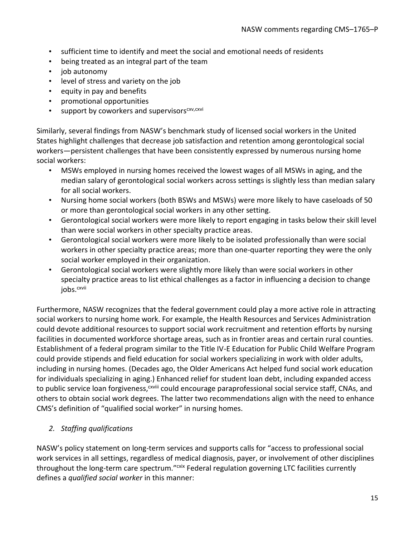- sufficient time to identify and meet the social and emotional needs of residents
- being treated as an integral part of the team
- job autonomy
- level of stress and variety on the job
- equity in pay and benefits
- promotional opportunities
- support by coworkers and supervisors<sup>cxv,cxvi</sup>

Similarly, several findings from NASW's benchmark study of licensed social workers in the United States highlight challenges that decrease job satisfaction and retention among gerontological social workers—persistent challenges that have been consistently expressed by numerous nursing home social workers:

- MSWs employed in nursing homes received the lowest wages of all MSWs in aging, and the median salary of gerontological social workers across settings is slightly less than median salary for all social workers.
- Nursing home social workers (both BSWs and MSWs) were more likely to have caseloads of 50 or more than gerontological social workers in any other setting.
- Gerontological social workers were more likely to report engaging in tasks below their skill level than were social workers in other specialty practice areas.
- Gerontological social workers were more likely to be isolated professionally than were social workers in other specialty practice areas; more than one-quarter reporting they were the only social worker employed in their organization.
- Gerontological social workers were slightly more likely than were social workers in other specialty practice areas to list ethical challenges as a factor in influencing a decision to change jobs.<sup>cxvii</sup>

Furthermore, NASW recognizes that the federal government could play a more active role in attracting social workers to nursing home work. For example, the Health Resources and Services Administration could devote additional resources to support social work recruitment and retention efforts by nursing facilities in documented workforce shortage areas, such as in frontier areas and certain rural counties. Establishment of a federal program similar to the Title IV-E Education for Public Child Welfare Program could provide stipends and field education for social workers specializing in work with older adults, including in nursing homes. (Decades ago, the Older Americans Act helped fund social work education for individuals specializing in aging.) Enhanced relief for student loan debt, including expanded access to public service loan forgiveness,<sup>cxviii</sup> could encourage paraprofessional social service staff, CNAs, and others to obtain social work degrees. The latter two recommendations align with the need to enhance CMS's definition of "qualified social worker" in nursing homes.

## *2. Staffing qualifications*

NASW's policy statement on long-term services and supports calls for "access to professional social work services in all settings, regardless of medical diagnosis, payer, or involvement of other disciplines throughout the long-term care spectrum."<sup>cxix</sup> Federal regulation governing LTC facilities currently defines a *qualified social worker* in this manner: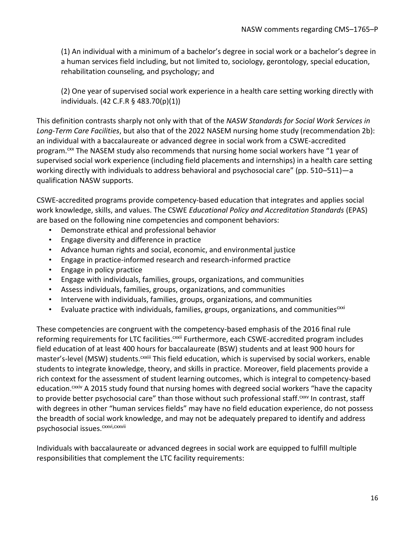(1) An individual with a minimum of a bachelor's degree in social work or a bachelor's degree in a human services field including, but not limited to, sociology, gerontology, special education, rehabilitation counseling, and psychology; and

(2) One year of supervised social work experience in a health care setting working directly with individuals. (42 C.F.R § 483.70(p)(1))

This definition contrasts sharply not only with that of the *NASW Standards for Social Work Services in Long-Term Care Facilities*, but also that of the 2022 NASEM nursing home study (recommendation 2b): an individual with a baccalaureate or advanced degree in social work from a CSWE-accredited program.<sup>cxx</sup> The NASEM study also recommends that nursing home social workers have "1 year of supervised social work experience (including field placements and internships) in a health care setting working directly with individuals to address behavioral and psychosocial care" (pp. 510–511)—a qualification NASW supports.

CSWE-accredited programs provide competency-based education that integrates and applies social work knowledge, skills, and values. The CSWE *Educational Policy and Accreditation Standards* (EPAS) are based on the following nine competencies and component behaviors:

- Demonstrate ethical and professional behavior
- Engage diversity and difference in practice
- Advance human rights and social, economic, and environmental justice
- Engage in practice-informed research and research-informed practice
- Engage in policy practice
- Engage with individuals, families, groups, organizations, and communities
- Assess individuals, families, groups, organizations, and communities
- Intervene with individuals, families, groups, organizations, and communities
- Evaluate practice with individuals, families, groups, organizations, and communities<sup>cxxi</sup>

These competencies are congruent with the competency-based emphasis of the 2016 final rule reforming requirements for LTC facilities.<sup>cxxii</sup> Furthermore, each CSWE-accredited program includes field education of at least 400 hours for baccalaureate (BSW) students and at least 900 hours for master's-level (MSW) students.<sup>cxxiii</sup> This field education, which is supervised by social workers, enable students to integrate knowledge, theory, and skills in practice. Moreover, field placements provide a rich context for the assessment of student learning outcomes, which is integral to competency-based education.<sup>cxxiv</sup> A 2015 study found that nursing homes with degreed social workers "have the capacity to provide better psychosocial care" than those without such professional staff.<sup>cxxv</sup> In contrast, staff with degrees in other "human services fields" may have no field education experience, do not possess the breadth of social work knowledge, and may not be adequately prepared to identify and address psychosocial issues.<sup>cxxvi,cxxvii</sup>

Individuals with baccalaureate or advanced degrees in social work are equipped to fulfill multiple responsibilities that complement the LTC facility requirements: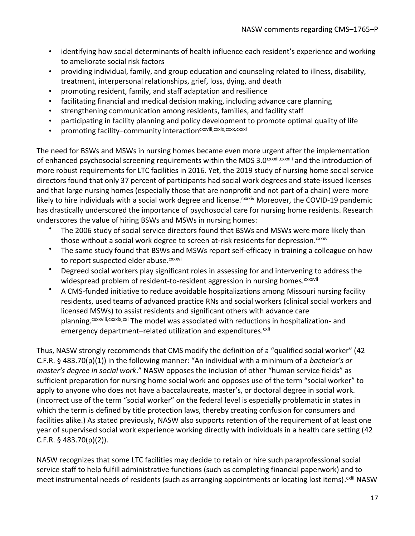- identifying how social determinants of health influence each resident's experience and working to ameliorate social risk factors
- providing individual, family, and group education and counseling related to illness, disability, treatment, interpersonal relationships, grief, loss, dying, and death
- promoting resident, family, and staff adaptation and resilience
- facilitating financial and medical decision making, including advance care planning
- strengthening communication among residents, families, and facility staff
- participating in facility planning and policy development to promote optimal quality of life
- promoting facility-community interaction<sup>cxxviii, cxxix, cxxx, cxxxi</sup>

The need for BSWs and MSWs in nursing homes became even more urgent after the implementation of enhanced psychosocial screening requirements within the MDS 3.0<sup>cxxxii,cxxxiii</sup> and the introduction of more robust requirements for LTC facilities in 2016. Yet, the 2019 study of nursing home social service directors found that only 37 percent of participants had social work degrees and state-issued licenses and that large nursing homes (especially those that are nonprofit and not part of a chain) were more likely to hire individuals with a social work degree and license. CXXXiV Moreover, the COVID-19 pandemic has drastically underscored the importance of psychosocial care for nursing home residents. Research underscores the value of hiring BSWs and MSWs in nursing homes:

- The 2006 study of social service directors found that BSWs and MSWs were more likely than those without a social work degree to screen at-risk residents for depression.<sup>cxxxv</sup>
- The same study found that BSWs and MSWs report self-efficacy in training a colleague on how to report suspected elder abuse.<sup>cxxxvi</sup>
- Degreed social workers play significant roles in assessing for and intervening to address the widespread problem of resident-to-resident aggression in nursing homes.<sup>cxxxvii</sup>
- A CMS-funded initiative to reduce avoidable hospitalizations among Missouri nursing facility residents, used teams of advanced practice RNs and social workers (clinical social workers and licensed MSWs) to assist residents and significant others with advance care planning. CXXXVIII, CXXXXIX, CXl The model was associated with reductions in hospitalization- and emergency department–related utilization and expenditures.<sup>cxli</sup>

Thus, NASW strongly recommends that CMS modify the definition of a "qualified social worker" (42 C.F.R. § 483.70(p)(1)) in the following manner: "An individual with a minimum of a *bachelor's or master's degree in social work*." NASW opposes the inclusion of other "human service fields" as sufficient preparation for nursing home social work and opposes use of the term "social worker" to apply to anyone who does not have a baccalaureate, master's, or doctoral degree in social work. (Incorrect use of the term "social worker" on the federal level is especially problematic in states in which the term is defined by title protection laws, thereby creating confusion for consumers and facilities alike.) As stated previously, NASW also supports retention of the requirement of at least one year of supervised social work experience working directly with individuals in a health care setting (42 C.F.R. § 483.70(p)(2)).

NASW recognizes that some LTC facilities may decide to retain or hire such paraprofessional social service staff to help fulfill administrative functions (such as completing financial paperwork) and to meet instrumental needs of residents (such as arranging appointments or locating lost items).<sup>cxlii</sup> NASW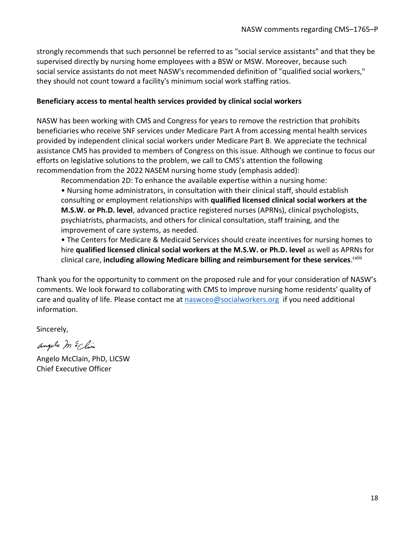strongly recommends that such personnel be referred to as "social service assistants" and that they be supervised directly by nursing home employees with a BSW or MSW. Moreover, because such social service assistants do not meet NASW's recommended definition of "qualified social workers," they should not count toward a facility's minimum social work staffing ratios.

#### **Beneficiary access to mental health services provided by clinical social workers**

NASW has been working with CMS and Congress for years to remove the restriction that prohibits beneficiaries who receive SNF services under Medicare Part A from accessing mental health services provided by independent clinical social workers under Medicare Part B. We appreciate the technical assistance CMS has provided to members of Congress on this issue. Although we continue to focus our efforts on legislative solutions to the problem, we call to CMS's attention the following recommendation from the 2022 NASEM nursing home study (emphasis added):

Recommendation 2D: To enhance the available expertise within a nursing home:

• Nursing home administrators, in consultation with their clinical staff, should establish consulting or employment relationships with **qualified licensed clinical social workers at the M.S.W. or Ph.D. level**, advanced practice registered nurses (APRNs), clinical psychologists, psychiatrists, pharmacists, and others for clinical consultation, staff training, and the improvement of care systems, as needed.

• The Centers for Medicare & Medicaid Services should create incentives for nursing homes to hire **qualified licensed clinical social workers at the M.S.W. or Ph.D. level** as well as APRNs for clinical care, including allowing Medicare billing and reimbursement for these services.<sup>cxliii</sup>

Thank you for the opportunity to comment on the proposed rule and for your consideration of NASW's comments. We look forward to collaborating with CMS to improve nursing home residents' quality of care and quality of life. Please contact me at [naswceo@socialworkers.org](mailto:naswceo@socialworkers.org) if you need additional information.

Sincerely,

angelo m & Clim

Angelo McClain, PhD, LICSW Chief Executive Officer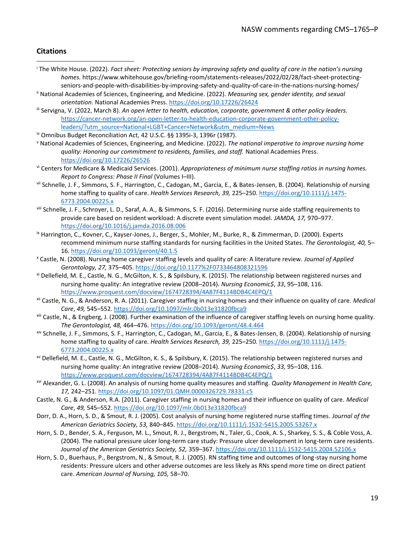#### **Citations**

- <sup>i</sup> The White House. (2022). *Fact sheet: Protecting seniors by improving safety and quality of care in the nation's nursing homes.* https://www.whitehouse.gov/briefing-room/statements-releases/2022/02/28/fact-sheet-protectingseniors-and-people-with-disabilities-by-improving-safety-and-quality-of-care-in-the-nations-nursing-homes/
- ii National Academies of Sciences, Engineering, and Medicine. (2022). *Measuring sex, gender identity, and sexual orientation*. National Academies Press[. https://doi.org/10.17226/26424](https://doi.org/10.17226/26424)
- iii Servigna, V. (2022, March 8). *An open letter to health, education, corporate, government & other policy leaders.* [https://cancer-network.org/an-open-letter-to-health-education-corporate-government-other-policy](https://cancer-network.org/an-open-letter-to-health-education-corporate-government-other-policy-leaders/?utm_source=National+LGBT+Cancer+Network&utm_medium=News)[leaders/?utm\\_source=National+LGBT+Cancer+Network&utm\\_medium=News](https://cancer-network.org/an-open-letter-to-health-education-corporate-government-other-policy-leaders/?utm_source=National+LGBT+Cancer+Network&utm_medium=News)
- iv Omnibus Budget Reconciliation Act, 42 U.S.C. §§ 1395i-3, 1396r (1987).
- <sup>v</sup> National Academies of Sciences, Engineering, and Medicine. (2022). *The national imperative to improve nursing home quality: Honoring our commitment to residents, families, and staff.* National Academies Press. <https://doi.org/10.17226/26526>
- vi Centers for Medicare & Medicaid Services. (2001). *Appropriateness of minimum nurse staffing ratios in nursing homes. Report to Congress: Phase II Final* (Volumes I–III).
- vii Schnelle, J. F., Simmons, S. F., Harrington, C., Cadogan, M., Garcia, E., & Bates-Jensen, B. (2004). Relationship of nursing home staffing to quality of care. *Health Services Research, 39,* 225–250[. https://doi.org/10.1111/j.1475-](https://doi.org/10.1111/j.1475-6773.2004.00225.x) [6773.2004.00225.x](https://doi.org/10.1111/j.1475-6773.2004.00225.x)
- viii Schnelle, J. F., Schroyer, L. D., Saraf, A. A., & Simmons, S. F. (2016). Determining nurse aide staffing requirements to provide care based on resident workload: A discrete event simulation model*. JAMDA, 17,* 970–977. <https://doi.org/10.1016/j.jamda.2016.08.006>
- <sup>ix</sup> Harrington, C., Kovner, C., Kayser-Jones, J., Berger, S., Mohler, M., Burke, R., & Zimmerman, D. (2000). Experts recommend minimum nurse staffing standards for nursing facilities in the United States. *The Gerontologist, 40,* 5– 16.<https://doi.org/10.1093/geront/40.1.5>
- <sup>x</sup> Castle, N. (2008). Nursing home caregiver staffing levels and quality of care: A literature review. *Journal of Applied Gerontology, 27,* 375–405. <https://doi.org/10.1177%2F0733464808321596>
- xi Dellefield, M. E., Castle, N. G., McGilton, K. S., & Spilsbury, K. (2015). The relationship between registered nurses and nursing home quality: An integrative review (2008–2014). *Nursing Economic\$*, *33*, 95–108, 116. <https://www.proquest.com/docview/1674728394/4A87F4114BDB4C4EPQ/1>
- xii Castle, N. G., & Anderson, R. A. (2011). Caregiver staffing in nursing homes and their influence on quality of care. *Medical Care*, *49,* 545–552. <https://doi.org/10.1097/mlr.0b013e31820fbca9>
- xiii Castle, N., & Engberg, J. (2008). Further examination of the influence of caregiver staffing levels on nursing home quality. *The Gerontologist, 48,* 464–476. <https://doi.org/10.1093/geront/48.4.464>
- xiv Schnelle, J. F., Simmons, S. F., Harrington, C., Cadogan, M., Garcia, E., & Bates-Jensen, B. (2004). Relationship of nursing home staffing to quality of care. *Health Services Research, 39,* 225–250[. https://doi.org/10.1111/j.1475-](https://doi.org/10.1111/j.1475-6773.2004.00225.x) [6773.2004.00225.x](https://doi.org/10.1111/j.1475-6773.2004.00225.x)
- xv Dellefield, M. E., Castle, N. G., McGilton, K. S., & Spilsbury, K. (2015). The relationship between registered nurses and nursing home quality: An integrative review (2008–2014). *Nursing Economic\$*, *33,* 95–108, 116. <https://www.proquest.com/docview/1674728394/4A87F4114BDB4C4EPQ/1>
- xvi Alexander, G. L. (2008). An analysis of nursing home quality measures and staffing. *Quality Management in Health Care, 17,* 242–251. <https://doi.org/10.1097/01.QMH.0000326729.78331.c5>
- Castle, N. G., & Anderson, R.A. (2011). Caregiver staffing in nursing homes and their influence on quality of care. *Medical Care*, *49,* 545–552. <https://doi.org/10.1097/mlr.0b013e31820fbca9>
- Dorr, D. A., Horn, S. D., & Smout, R. J. (2005). Cost analysis of nursing home registered nurse staffing times. *Journal of the American Geriatrics Society, 53,* 840–845.<https://doi.org/10.1111/j.1532-5415.2005.53267.x>
- Horn, S. D., Bender, S. A., Ferguson, M. L., Smout, R. J., Bergstrom, N., Taler, G., Cook, A. S., Sharkey, S. S., & Coble Voss, A. (2004). The national pressure ulcer long-term care study: Pressure ulcer development in long-term care residents. *Journal of the American Geriatrics Society, 52,* 359–367[. https://doi.org/10.1111/j.1532-5415.2004.52106.x](https://doi.org/10.1111/j.1532-5415.2004.52106.x)
- Horn, S. D., Buerhaus, P., Bergstrom, N., & Smout, R. J. (2005). RN staffing time and outcomes of long-stay nursing home residents: Pressure ulcers and other adverse outcomes are less likely as RNs spend more time on direct patient care. *American Journal of Nursing, 105,* 58–70.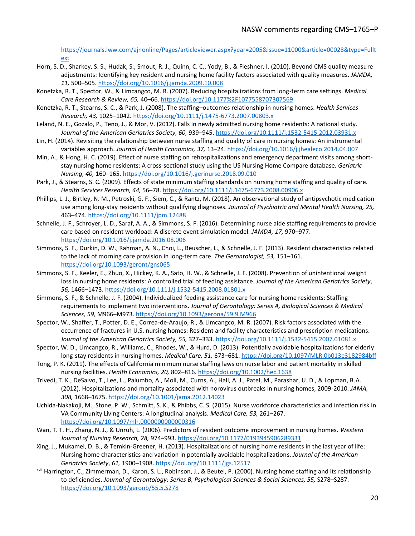[https://journals.lww.com/ajnonline/Pages/articleviewer.aspx?year=2005&issue=11000&article=00028&type=Fullt](https://journals.lww.com/ajnonline/Pages/articleviewer.aspx?year=2005&issue=11000&article=00028&type=Fulltext) [ext](https://journals.lww.com/ajnonline/Pages/articleviewer.aspx?year=2005&issue=11000&article=00028&type=Fulltext)

- Horn, S. D., Sharkey, S. S., Hudak, S., Smout, R. J., Quinn, C. C., Yody, B., & Fleshner, I. (2010). Beyond CMS quality measure adjustments: Identifying key resident and nursing home facility factors associated with quality measures. *JAMDA, 11,* 500–505.<https://doi.org/10.1016/j.jamda.2009.10.008>
- Konetzka, R. T., Spector, W., & Limcangco, M. R. (2007). Reducing hospitalizations from long-term care settings. *Medical Care Research & Review, 65,* 40–66[. https://doi.org/10.1177%2F1077558707307569](https://doi.org/10.1177%2F1077558707307569)
- Konetzka, R. T., Stearns, S. C., & Park, J. (2008). The staffing–outcomes relationship in nursing homes. *Health Services Research, 43,* 1025–1042[. https://doi.org/10.1111/j.1475-6773.2007.00803.x](https://doi.org/10.1111/j.1475-6773.2007.00803.x)
- Leland, N. E., Gozalo, P., Teno, J., & Mor, V. (2012). Falls in newly admitted nursing home residents: A national study. *Journal of the American Geriatrics Society, 60,* 939–945. <https://doi.org/10.1111/j.1532-5415.2012.03931.x>
- Lin, H. (2014). Revisiting the relationship between nurse staffing and quality of care in nursing homes: An instrumental variables approach. *Journal of Health Economics, 37,* 13–24[. https://doi.org/10.1016/j.jhealeco.2014.04.007](https://doi.org/10.1016/j.jhealeco.2014.04.007)
- Min, A., & Hong, H. C. (2019). Effect of nurse staffing on rehospitalizations and emergency department visits among shortstay nursing home residents: A cross-sectional study using the US Nursing Home Compare database. *Geriatric Nursing, 40,* 160–165.<https://doi.org/10.1016/j.gerinurse.2018.09.010>
- Park, J., & Stearns, S. C. (2009). Effects of state minimum staffing standards on nursing home staffing and quality of care. *Health Services Research, 44,* 56–78.<https://doi.org/10.1111/j.1475-6773.2008.00906.x>
- Phillips, L. J., Birtley, N. M., Petroski, G. F., Siem, C., & Rantz, M. (2018). An observational study of antipsychotic medication use among long-stay residents without qualifying diagnoses. *Journal of Psychiatric and Mental Health Nursing, 25,* 463–474.<https://doi.org/10.1111/jpm.12488>
- Schnelle, J. F., Schroyer, L. D., Saraf, A. A., & Simmons, S. F. (2016). Determining nurse aide staffing requirements to provide care based on resident workload: A discrete event simulation model*. JAMDA, 17,* 970–977. <https://doi.org/10.1016/j.jamda.2016.08.006>
- Simmons, S. F., Durkin, D. W., Rahman, A. N., Choi, L., Beuscher, L., & Schnelle, J. F. (2013). Resident characteristics related to the lack of morning care provision in long-term care. *The Gerontologist, 53,* 151–161. <https://doi.org/10.1093/geront/gns065>
- Simmons, S. F., Keeler, E., Zhuo, X., Hickey, K. A., Sato, H. W., & Schnelle, J. F. (2008). Prevention of unintentional weight loss in nursing home residents: A controlled trial of feeding assistance. *Journal of the American Geriatrics Society*, *56,* 1466–1473. <https://doi.org/10.1111/j.1532-5415.2008.01801.x>
- Simmons, S. F., & Schnelle, J. F. (2004). Individualized feeding assistance care for nursing home residents: Staffing requirements to implement two interventions. *Journal of Gerontology: Series A, Biological Sciences & Medical Sciences, 59,* M966–M973[. https://doi.org/10.1093/gerona/59.9.M966](https://doi.org/10.1093/gerona/59.9.M966)
- Spector, W., Shaffer, T., Potter, D. E., Correa-de-Araujo, R., & Limcangco, M. R. (2007). Risk factors associated with the occurrence of fractures in U.S. nursing homes: Resident and facility characteristics and prescription medications. *Journal of the American Geriatrics Society, 55,* 327–333[. https://doi.org/10.1111/j.1532-5415.2007.01081.x](https://doi.org/10.1111/j.1532-5415.2007.01081.x)
- Spector, W. D., Limcangco, R., Williams, C., Rhodes, W., & Hurd, D. (2013). Potentially avoidable hospitalizations for elderly long-stay residents in nursing homes. *Medical Care, 51,* 673–681[. https://doi.org/10.1097/MLR.0b013e3182984bff](https://doi.org/10.1097/MLR.0b013e3182984bff)
- Tong, P. K. (2011). The effects of California minimum nurse staffing laws on nurse labor and patient mortality in skilled nursing facilities. *Health Economics, 20,* 802–816[. https://doi.org/10.1002/hec.1638](https://doi.org/10.1002/hec.1638)
- Trivedi, T. K., DeSalvo, T., Lee, L., Palumbo, A., Moll, M., Curns, A., Hall, A. J., Patel, M., Parashar, U. D., & Lopman, B.A. (2012). Hospitalizations and mortality associated with norovirus outbreaks in nursing homes, 2009-2010. *JAMA, 308,* 1668–1675.<https://doi.org/10.1001/jama.2012.14023>
- Uchida-Nakakoji, M., Stone, P. W., Schmitt, S. K., & Phibbs, C. S. (2015). Nurse workforce characteristics and infection risk in VA Community Living Centers: A longitudinal analysis. *Medical Care, 53,* 261–267. <https://doi.org/10.1097/mlr.0000000000000316>
- Wan, T. T. H., Zhang, N. J., & Unruh, L. (2006). Predictors of resident outcome improvement in nursing homes. *Western Journal of Nursing Research, 28,* 974–993[. https://doi.org/10.1177/0193945906289331](https://doi.org/10.1177/0193945906289331)
- Xing, J., Mukamel, D. B., & Temkin-Greener, H. (2013). Hospitalizations of nursing home residents in the last year of life: Nursing home characteristics and variation in potentially avoidable hospitalizations. *Journal of the American Geriatrics Society*, *61,* 1900–1908.<https://doi.org/10.1111/jgs.12517>
- xvii Harrington, C., Zimmerman, D., Karon, S. L., Robinson, J., & Beutel, P. (2000). Nursing home staffing and its relationship to deficiencies. *Journal of Gerontology: Series B, Psychological Sciences & Social Sciences, 55,* S278–S287. <https://doi.org/10.1093/geronb/55.5.S278>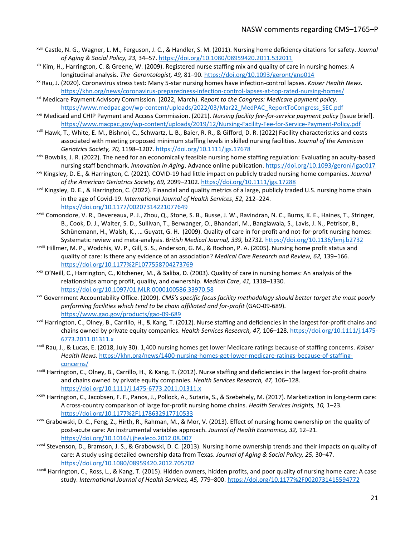- xviii Castle, N. G., Wagner, L. M., Ferguson, J. C., & Handler, S. M. (2011). Nursing home deficiency citations for safety. *Journal of Aging & Social Policy, 23,* 34–57[. https://doi.org/10.1080/08959420.2011.532011](https://doi.org/10.1080/08959420.2011.532011)
- xix Kim, H., Harrington, C. & Greene, W. (2009). Registered nurse staffing mix and quality of care in nursing homes: A longitudinal analysis. *The Gerontologist, 49,* 81–90[. https://doi.org/10.1093/geront/gnp014](https://doi.org/10.1093/geront/gnp014)
- xx Rau, J. (2020). Coronavirus stress test: Many 5-star nursing homes have infection-control lapses. *Kaiser Health News.*  <https://khn.org/news/coronavirus-preparedness-infection-control-lapses-at-top-rated-nursing-homes/>
- xxi Medicare Payment Advisory Commission. (2022, March). *Report to the Congress: Medicare payment policy.*  [https://www.medpac.gov/wp-content/uploads/2022/03/Mar22\\_MedPAC\\_ReportToCongress\\_SEC.pdf](https://www.medpac.gov/wp-content/uploads/2022/03/Mar22_MedPAC_ReportToCongress_SEC.pdf)
- xxii Medicaid and CHIP Payment and Access Commission. (2021). *Nursing facility fee-for-service payment policy* [Issue brief]. <https://www.macpac.gov/wp-content/uploads/2019/12/Nursing-Facility-Fee-for-Service-Payment-Policy.pdf>
- xxiii Hawk, T., White, E. M., Bishnoi, C., Schwartz, L. B., Baier, R. R., & Gifford, D. R. (2022) Facility characteristics and costs associated with meeting proposed minimum staffing levels in skilled nursing facilities. *Journal of the American Geriatrics Society, 70,* 1198–1207.<https://doi.org/10.1111/jgs.17678>
- xxiv Bowblis, J. R. (2022). The need for an economically feasible nursing home staffing regulation: Evaluating an acuity-based nursing staff benchmark. *Innovation in Aging*. Advance online publication. <https://doi.org/10.1093/geroni/igac017>
- xxv Kingsley, D. E., & Harrington, C. (2021). COVID-19 had little impact on publicly traded nursing home companies. *Journal of the American Geriatrics Society, 69,* 2099–2102. <https://doi.org/10.1111/jgs.17288>
- xxvi Kingsley, D. E., & Harrington, C. (2022). Financial and quality metrics of a large, publicly traded U.S. nursing home chain in the age of Covid-19. *International Journal of Health Services*, *52,* 212–224. <https://doi.org/10.1177/00207314221077649>
- xxvii Comondore, V. R., Devereaux, P. J., Zhou, Q., Stone, S. B., Busse, J. W., Ravindran, N. C., Burns, K. E., Haines, T., Stringer, B., Cook, D. J., Walter, S. D., Sullivan, T., Berwanger, O., Bhandari, M., Banglawala, S., Lavis, J. N., Petrisor, B., Schünemann, H., Walsh, K., … Guyatt, G. H. (2009). Quality of care in for-profit and not-for-profit nursing homes: Systematic review and meta-analysis. *British Medical Journal, 339,* b2732[. https://doi.org/10.1136/bmj.b2732](https://doi.org/10.1136/bmj.b2732)
- xxviii Hillmer, M. P., Wodchis, W. P., Gill, S. S., Anderson, G. M., & Rochon, P. A. (2005). Nursing home profit status and quality of care: Is there any evidence of an association? *Medical Care Research and Review, 62,* 139–166. <https://doi.org/10.1177%2F1077558704273769>
- $x$ ixix O'Neill, C., Harrington, C., Kitchener, M., & Saliba, D. (2003). Quality of care in nursing homes: An analysis of the relationships among profit, quality, and ownership. *Medical Care*, *41,* 1318–1330. <https://doi.org/10.1097/01.MLR.0000100586.33970.58>
- xxx Government Accountability Office. (2009). *CMS's specific focus facility methodology should better target the most poorly performing facilities which tend to be chain affiliated and for-profit* (GAO-09-689). <https://www.gao.gov/products/gao-09-689>
- xxxi Harrington, C., Olney, B., Carrillo, H., & Kang, T. (2012). Nurse staffing and deficiencies in the largest for-profit chains and chains owned by private equity companies. *Health Services Research, 47,* 106–128. [https://doi.org/10.1111/j.1475-](https://doi.org/10.1111/j.1475-6773.2011.01311.x) [6773.2011.01311.x](https://doi.org/10.1111/j.1475-6773.2011.01311.x)
- xxxii Rau, J., & Lucas, E. (2018, July 30). 1,400 nursing homes get lower Medicare ratings because of staffing concerns. *Kaiser Health News.* [https://khn.org/news/1400-nursing-homes-get-lower-medicare-ratings-because-of-staffing](https://khn.org/news/1400-nursing-homes-get-lower-medicare-ratings-because-of-staffing-concerns/)[concerns/](https://khn.org/news/1400-nursing-homes-get-lower-medicare-ratings-because-of-staffing-concerns/)
- xxxiii Harrington, C., Olney, B., Carrillo, H., & Kang, T. (2012). Nurse staffing and deficiencies in the largest for-profit chains and chains owned by private equity companies. *Health Services Research, 47,* 106–128. <https://doi.org/10.1111/j.1475-6773.2011.01311.x>
- xxxiv Harrington, C., Jacobsen, F. F., Panos, J., Pollock, A., Sutaria, S., & Szebehely, M. (2017). Marketization in long-term care: A cross-country comparison of large for-profit nursing home chains. *Health Services Insights, 10,* 1–23. <https://doi.org/10.1177%2F1178632917710533>
- xxxv Grabowski, D. C., Feng, Z., Hirth, R., Rahman, M., & Mor, V. (2013). Effect of nursing home ownership on the quality of post-acute care: An instrumental variables approach. *Journal of Health Economics, 32,* 12–21. <https://doi.org/10.1016/j.jhealeco.2012.08.007>
- xxxvi Stevenson, D., Bramson, J. S., & Grabowski, D. C. (2013). Nursing home ownership trends and their impacts on quality of care: A study using detailed ownership data from Texas. *Journal of Aging & Social Policy, 25,* 30–47. <https://doi.org/10.1080/08959420.2012.705702>
- xxxvii Harrington, C., Ross, L., & Kang, T. (2015). Hidden owners, hidden profits, and poor quality of nursing home care: A case study. *International Journal of Health Services, 45,* 779–800[. https://doi.org/10.1177%2F0020731415594772](https://doi.org/10.1177%2F0020731415594772)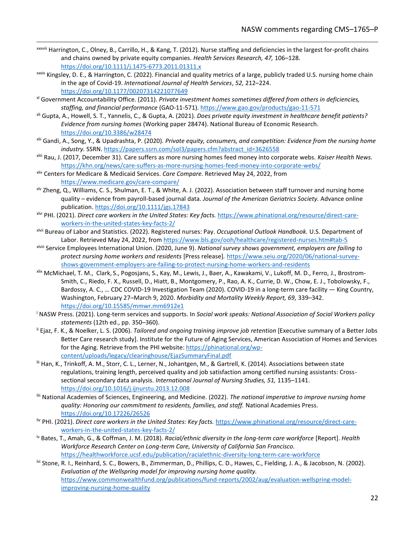- xxxviii Harrington, C., Olney, B., Carrillo, H., & Kang, T. (2012). Nurse staffing and deficiencies in the largest for-profit chains and chains owned by private equity companies. *Health Services Research, 47,* 106–128. <https://doi.org/10.1111/j.1475-6773.2011.01311.x>
- xxxix Kingsley, D. E., & Harrington, C. (2022). Financial and quality metrics of a large, publicly traded U.S. nursing home chain in the age of Covid-19. *International Journal of Health Services*, *52,* 212–224. <https://doi.org/10.1177/00207314221077649>
- xl Government Accountability Office. (2011). *Private investment homes sometimes differed from others in deficiencies, staffing, and financial performance* (GAO-11-571).<https://www.gao.gov/products/gao-11-571>
- xli Gupta, A., Howell, S. T., Yannelis, C., & Gupta, A. (2021). *Does private equity investment in healthcare benefit patients? Evidence from nursing homes* (Working paper 28474). National Bureau of Economic Research. <https://doi.org/10.3386/w28474>
- xlii Gandi, A., Song, Y., & Upadrashta, P. (2020). *Private equity, consumers, and competition: Evidence from the nursing home industry.* SSRN[. https://papers.ssrn.com/sol3/papers.cfm?abstract\\_id=3626558](https://papers.ssrn.com/sol3/papers.cfm?abstract_id=3626558)
- xliii Rau, J. (2017, December 31). Care suffers as more nursing homes feed money into corporate webs. *Kaiser Health News.*  <https://khn.org/news/care-suffers-as-more-nursing-homes-feed-money-into-corporate-webs/>
- xliv Centers for Medicare & Medicaid Services. *Care Compare.* Retrieved May 24, 2022, from <https://www.medicare.gov/care-compare/>
- xlv Zheng, Q., Williams, C. S., Shulman, E. T., & White, A. J. (2022). Association between staff turnover and nursing home quality – evidence from payroll-based journal data. *Journal of the American Geriatrics Society.* Advance online publication[. https://doi.org/10.1111/jgs.17843](https://doi.org/10.1111/jgs.17843)
- xlvi PHI. (2021). *Direct care workers in the United States: Key facts.* [https://www.phinational.org/resource/direct-care](https://www.phinational.org/resource/direct-care-workers-in-the-united-states-key-facts-2/)[workers-in-the-united-states-key-facts-2/](https://www.phinational.org/resource/direct-care-workers-in-the-united-states-key-facts-2/)
- xlvii Bureau of Labor and Statistics. (2022). Registered nurses: Pay. *Occupational Outlook Handbook.* U.S. Department of Labor. Retrieved May 24, 2022, fro[m https://www.bls.gov/ooh/healthcare/registered-nurses.htm#tab-5](https://www.bls.gov/ooh/healthcare/registered-nurses.htm#tab-5)
- xlviii Service Employees International Union. (2020, June 9). *National survey shows government, employers are failing to protect nursing home workers and residents* [Press release]*.* [https://www.seiu.org/2020/06/national-survey](https://www.seiu.org/2020/06/national-survey-shows-government-employers-are-failing-to-protect-nursing-home-workers-and-residents)[shows-government-employers-are-failing-to-protect-nursing-home-workers-and-residents](https://www.seiu.org/2020/06/national-survey-shows-government-employers-are-failing-to-protect-nursing-home-workers-and-residents)
- xlix McMichael, T. M., Clark, S., Pogosjans, S., Kay, M., Lewis, J., Baer, A., Kawakami, V., Lukoff, M. D., Ferro, J., Brostrom-Smith, C., Riedo, F. X., Russell, D., Hiatt, B., Montgomery, P., Rao, A. K., Currie, D. W., Chow, E. J., Tobolowsky, F., Bardossy, A. C., … CDC COVID-19 Investigation Team (2020). COVID-19 in a long-term care facility — King Country, Washington, February 27–March 9, 2020. *Morbidity and Mortality Weekly Report, 69,* 339–342. <https://doi.org/10.15585/mmwr.mm6912e1>
- <sup>l</sup> NASW Press. (2021). Long-term services and supports. In *Social work speaks: National Association of Social Workers policy statements* (12th ed., pp. 350–360).
- li Ejaz, F. K., & Noelker, L. S. (2006). *Tailored and ongoing training improve job retention* [Executive summary of a Better Jobs Better Care research study]. Institute for the Future of Aging Services, American Association of Homes and Services for the Aging. Retrieve from the PHI website[: https://phinational.org/wp](https://phinational.org/wp-content/uploads/legacy/clearinghouse/EjazSummaryFinal.pdf)[content/uploads/legacy/clearinghouse/EjazSummaryFinal.pdf](https://phinational.org/wp-content/uploads/legacy/clearinghouse/EjazSummaryFinal.pdf)
- lii Han, K., Trinkoff, A. M., Storr, C. L., Lerner, N., Johantgen, M., & Gartrell, K. (2014). Associations between state regulations, training length, perceived quality and job satisfaction among certified nursing assistants: Crosssectional secondary data analysis. *International Journal of Nursing Studies, 51,* 1135–1141. <https://doi.org/10.1016/j.ijnurstu.2013.12.008>
- liii National Academies of Sciences, Engineering, and Medicine. (2022). *The national imperative to improve nursing home quality: Honoring our commitment to residents, families, and staff.* National Academies Press. <https://doi.org/10.17226/26526>
- liv PHI. (2021). *Direct care workers in the United States: Key facts.* [https://www.phinational.org/resource/direct-care](https://www.phinational.org/resource/direct-care-workers-in-the-united-states-key-facts-2/)[workers-in-the-united-states-key-facts-2/](https://www.phinational.org/resource/direct-care-workers-in-the-united-states-key-facts-2/)
- lv Bates, T., Amah, G., & Coffman, J. M. (2018). *Racial/ethnic diversity in the long-term care workforce* [Report]. *Health Workforce Research Center on Long-term Care, University of California San Francisco.* <https://healthworkforce.ucsf.edu/publication/racialethnic-diversity-long-term-care-workforce>
- lvi Stone, R. I., Reinhard, S. C., Bowers, B., Zimmerman, D., Phillips, C. D., Hawes, C., Fielding, J. A., & Jacobson, N. (2002). *Evaluation of the Wellspring model for improving nursing home quality.* [https://www.commonwealthfund.org/publications/fund-reports/2002/aug/evaluation-wellspring-model](https://www.commonwealthfund.org/publications/fund-reports/2002/aug/evaluation-wellspring-model-improving-nursing-home-quality)[improving-nursing-home-quality](https://www.commonwealthfund.org/publications/fund-reports/2002/aug/evaluation-wellspring-model-improving-nursing-home-quality)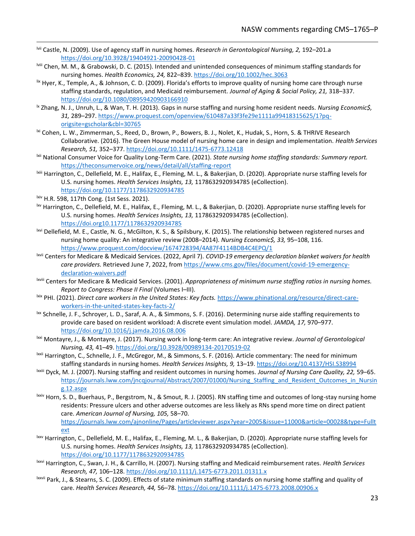- lvii Castle, N. (2009). Use of agency staff in nursing homes. *Research in Gerontological Nursing, 2,* 192–201.a <https://doi.org/10.3928/19404921-20090428-01>
- lviii Chen, M. M., & Grabowski, D. C. (2015). Intended and unintended consequences of minimum staffing standards for nursing homes. *Health Economics, 24,* 822–839[. https://doi.org/10.1002/hec.3063](https://doi.org/10.1002/hec.3063)
- $\frac{1}{2}$  Hyer, K., Temple, A., & Johnson, C. D. (2009). Florida's efforts to improve quality of nursing home care through nurse staffing standards, regulation, and Medicaid reimbursement. *Journal of Aging & Social Policy, 21,* 318–337. <https://doi.org/10.1080/08959420903166910>
- lx Zhang, N. J., Unruh, L., & Wan, T. H. (2013). Gaps in nurse staffing and nursing home resident needs. *Nursing Economic\$, 31,* 289–297. [https://www.proquest.com/openview/610487a33f3fe29e1111a99418315625/1?pq](https://www.proquest.com/openview/610487a33f3fe29e1111a99418315625/1?pq-origsite=gscholar&cbl=30765)[origsite=gscholar&cbl=30765](https://www.proquest.com/openview/610487a33f3fe29e1111a99418315625/1?pq-origsite=gscholar&cbl=30765)
- <sup>ki</sup> Cohen, L. W., Zimmerman, S., Reed, D., Brown, P., Bowers, B. J., Nolet, K., Hudak, S., Horn, S. & THRIVE Research Collaborative. (2016). The Green House model of nursing home care in design and implementation. *Health Services Research, 51,* 352–377. <https://doi.org/10.1111/1475-6773.12418>
- lxii National Consumer Voice for Quality Long-Term Care. (2021). *State nursing home staffing standards: Summary report.* <https://theconsumervoice.org/news/detail/all/staffing-report>
- lxiii Harrington, C., Dellefield, M. E., Halifax, E., Fleming, M. L., & Bakerjian, D. (2020). Appropriate nurse staffing levels for U.S. nursing homes. *Health Services Insights, 13,* 1178632920934785 (eCollection). <https://doi.org/10.1177/1178632920934785>
- lxiv H.R. 598, 117th Cong. (1st Sess. 2021).
- lxv Harrington, C., Dellefield, M. E., Halifax, E., Fleming, M. L., & Bakerjian, D. (2020). Appropriate nurse staffing levels for U.S. nursing homes. *Health Services Insights, 13,* 1178632920934785 (eCollection). <https://doi.org10.1177/1178632920934785>
- lxvi Dellefield, M. E., Castle, N. G., McGilton, K. S., & Spilsbury, K. (2015). The relationship between registered nurses and nursing home quality: An integrative review (2008–2014). *Nursing Economic\$, 33,* 95–108, 116. <https://www.proquest.com/docview/1674728394/4A87F4114BDB4C4EPQ/1>
- lxvii Centers for Medicare & Medicaid Services. (2022, April 7). *COVID-19 emergency declaration blanket waivers for health care providers.* Retrieved June 7, 2022, fro[m https://www.cms.gov/files/document/covid-19-emergency](https://www.cms.gov/files/document/covid-19-emergency-declaration-waivers.pdf)[declaration-waivers.pdf](https://www.cms.gov/files/document/covid-19-emergency-declaration-waivers.pdf)
- lxviii Centers for Medicare & Medicaid Services. (2001). *Appropriateness of minimum nurse staffing ratios in nursing homes. Report to Congress: Phase II Final* (Volumes I–III).
- lxix PHI. (2021). *Direct care workers in the United States: Key facts.* [https://www.phinational.org/resource/direct-care](https://www.phinational.org/resource/direct-care-workers-in-the-united-states-key-facts-2/)[workers-in-the-united-states-key-facts-2/](https://www.phinational.org/resource/direct-care-workers-in-the-united-states-key-facts-2/)
- lxx Schnelle, J. F., Schroyer, L. D., Saraf, A. A., & Simmons, S. F. (2016). Determining nurse aide staffing requirements to provide care based on resident workload: A discrete event simulation model*. JAMDA, 17,* 970–977. <https://doi.org/10.1016/j.jamda.2016.08.006>
- lxxi Montayre, J., & Montayre, J. (2017). Nursing work in long-term care: An integrative review. *Journal of Gerontological Nursing, 43,* 41–49.<https://doi.org/10.3928/00989134-20170519-02>
- lxxii Harrington, C., Schnelle, J. F., McGregor, M., & Simmons, S. F. (2016). Article commentary: The need for minimum staffing standards in nursing homes. *Health Services Insights, 9,* 13–19.<https://doi.org/10.4137/HSI.S38994>
- lxxiii Dyck, M. J. (2007). Nursing staffing and resident outcomes in nursing homes. *Journal of Nursing Care Quality, 22,* 59–65. [https://journals.lww.com/jncqjournal/Abstract/2007/01000/Nursing\\_Staffing\\_and\\_Resident\\_Outcomes\\_in\\_Nursin](https://journals.lww.com/jncqjournal/Abstract/2007/01000/Nursing_Staffing_and_Resident_Outcomes_in_Nursing.12.aspx) [g.12.aspx](https://journals.lww.com/jncqjournal/Abstract/2007/01000/Nursing_Staffing_and_Resident_Outcomes_in_Nursing.12.aspx)
- lxxiv Horn, S. D., Buerhaus, P., Bergstrom, N., & Smout, R. J. (2005). RN staffing time and outcomes of long-stay nursing home residents: Pressure ulcers and other adverse outcomes are less likely as RNs spend more time on direct patient care. *American Journal of Nursing, 105,* 58–70. [https://journals.lww.com/ajnonline/Pages/articleviewer.aspx?year=2005&issue=11000&article=00028&type=Fullt](https://journals.lww.com/ajnonline/Pages/articleviewer.aspx?year=2005&issue=11000&article=00028&type=Fulltext) [ext](https://journals.lww.com/ajnonline/Pages/articleviewer.aspx?year=2005&issue=11000&article=00028&type=Fulltext)
- lxxv Harrington, C., Dellefield, M. E., Halifax, E., Fleming, M. L., & Bakerjian, D. (2020). Appropriate nurse staffing levels for U.S. nursing homes. *Health Services Insights, 13,* 1178632920934785 (eCollection). <https://doi.org/10.1177/1178632920934785>
- lxxvi Harrington, C., Swan, J. H., & Carrillo, H. (2007). Nursing staffing and Medicaid reimbursement rates. *Health Services Research, 47,* 106–128[. https://doi.org/10.1111/j.1475-6773.2011.01311.x](https://doi.org/10.1111/j.1475-6773.2011.01311.x)
- lxxvii Park, J., & Stearns, S. C. (2009). Effects of state minimum staffing standards on nursing home staffing and quality of care. *Health Services Research, 44,* 56–78[. https://doi.org/10.1111/j.1475-6773.2008.00906.x](https://doi.org/10.1111/j.1475-6773.2008.00906.x)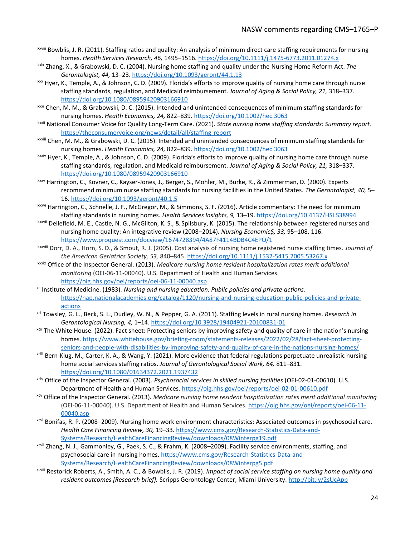- lxxviii Bowblis, J. R. (2011). Staffing ratios and quality: An analysis of minimum direct care staffing requirements for nursing homes. *Health Services Research, 46,* 1495–1516[. https://doi.org/10.1111/j.1475-6773.2011.01274.x](https://doi.org/10.1111/j.1475-6773.2011.01274.x)
- lxxix Zhang, X., & Grabowski, D. C. (2004). Nursing home staffing and quality under the Nursing Home Reform Act. *The Gerontologist, 44,* 13–23.<https://doi.org/10.1093/geront/44.1.13>
- $\frac{b}{x}$  Hyer, K., Temple, A., & Johnson, C. D. (2009). Florida's efforts to improve quality of nursing home care through nurse staffing standards, regulation, and Medicaid reimbursement. *Journal of Aging & Social Policy, 21,* 318–337. <https://doi.org/10.1080/08959420903166910>
- lxxxi Chen, M. M., & Grabowski, D. C. (2015). Intended and unintended consequences of minimum staffing standards for nursing homes. *Health Economics, 24,* 822–839[. https://doi.org/10.1002/hec.3063](https://doi.org/10.1002/hec.3063)
- lxxxii National Consumer Voice for Quality Long-Term Care. (2021). *State nursing home staffing standards: Summary report.* <https://theconsumervoice.org/news/detail/all/staffing-report>
- lxxxiii Chen, M. M., & Grabowski, D. C. (2015). Intended and unintended consequences of minimum staffing standards for nursing homes. *Health Economics, 24,* 822–839. <https://doi.org/10.1002/hec.3063>
- <sup>lxxxiv</sup> Hyer, K., Temple, A., & Johnson, C. D. (2009). Florida's efforts to improve quality of nursing home care through nurse staffing standards, regulation, and Medicaid reimbursement. *Journal of Aging & Social Policy, 21,* 318–337. <https://doi.org/10.1080/08959420903166910>
- lxxxv Harrington, C., Kovner, C., Kayser-Jones, J., Berger, S., Mohler, M., Burke, R., & Zimmerman, D. (2000). Experts recommend minimum nurse staffing standards for nursing facilities in the United States. *The Gerontologist, 40,* 5– 16.<https://doi.org/10.1093/geront/40.1.5>
- lxxxvi Harrington, C., Schnelle, J. F., McGregor, M., & Simmons, S. F. (2016). Article commentary: The need for minimum staffing standards in nursing homes. *Health Services Insights, 9,* 13–19.<https://doi.org/10.4137/HSI.S38994>
- lxxxvii Dellefield, M. E., Castle, N. G., McGilton, K. S., & Spilsbury, K. (2015). The relationship between registered nurses and nursing home quality: An integrative review (2008–2014). *Nursing Economic\$, 33,* 95–108, 116. <https://www.proquest.com/docview/1674728394/4A87F4114BDB4C4EPQ/1>
- lxxxviii Dorr, D. A., Horn, S. D., & Smout, R. J. (2005). Cost analysis of nursing home registered nurse staffing times. *Journal of the American Geriatrics Society, 53,* 840–845[. https://doi.org/10.1111/j.1532-5415.2005.53267.x](https://doi.org/10.1111/j.1532-5415.2005.53267.x)
- lxxxix Office of the Inspector General. (2013). *Medicare nursing home resident hospitalization rates merit additional monitoring* (OEI-06-11-00040). U.S. Department of Health and Human Services. <https://oig.hhs.gov/oei/reports/oei-06-11-00040.asp>
- xc Institute of Medicine. (1983). *Nursing and nursing education: Public policies and private actions.* [https://nap.nationalacademies.org/catalog/1120/nursing-and-nursing-education-public-policies-and-private](https://nap.nationalacademies.org/catalog/1120/nursing-and-nursing-education-public-policies-and-private-actions)[actions](https://nap.nationalacademies.org/catalog/1120/nursing-and-nursing-education-public-policies-and-private-actions)
- xci Towsley, G. L., Beck, S. L., Dudley, W. N., & Pepper, G. A. (2011). Staffing levels in rural nursing homes. *Research in Gerontological Nursing, 4,* 1–14. <https://doi.org/10.3928/19404921-20100831-01>
- xcii The White House. (2022). Fact sheet: Protecting seniors by improving safety and quality of care in the nation's nursing homes. [https://www.whitehouse.gov/briefing-room/statements-releases/2022/02/28/fact-sheet-protecting](https://www.whitehouse.gov/briefing-room/statements-releases/2022/02/28/fact-sheet-protecting-seniors-and-people-with-disabilities-by-improving-safety-and-quality-of-care-in-the-nations-nursing-homes/)[seniors-and-people-with-disabilities-by-improving-safety-and-quality-of-care-in-the-nations-nursing-homes/](https://www.whitehouse.gov/briefing-room/statements-releases/2022/02/28/fact-sheet-protecting-seniors-and-people-with-disabilities-by-improving-safety-and-quality-of-care-in-the-nations-nursing-homes/)
- xciii Bern-Klug, M., Carter, K. A., & Wang, Y. (2021). More evidence that federal regulations perpetuate unrealistic nursing home social services staffing ratios. *Journal of Gerontological Social Work, 64,* 811–831. <https://doi.org/10.1080/01634372.2021.1937432>
- xciv Office of the Inspector General. (2003). *Psychosocial services in skilled nursing facilities* (OEI-02-01-00610). U.S. Department of Health and Human Services[. https://oig.hhs.gov/oei/reports/oei-02-01-00610.pdf](https://oig.hhs.gov/oei/reports/oei-02-01-00610.pdf)
- xcv Office of the Inspector General. (2013). *Medicare nursing home resident hospitalization rates merit additional monitoring* (OEI-06-11-00040). U.S. Department of Health and Human Services[. https://oig.hhs.gov/oei/reports/oei-06-11-](https://oig.hhs.gov/oei/reports/oei-06-11-00040.asp) [00040.asp](https://oig.hhs.gov/oei/reports/oei-06-11-00040.asp)
- xcvi Bonifas, R. P. (2008–2009). Nursing home work environment characteristics: Associated outcomes in psychosocial care. *Health Care Financing Review, 30,* 19–33. [https://www.cms.gov/Research-Statistics-Data-and-](https://www.cms.gov/Research-Statistics-Data-and-Systems/Research/HealthCareFinancingReview/downloads/08Winterpg19.pdf)[Systems/Research/HealthCareFinancingReview/downloads/08Winterpg19.pdf](https://www.cms.gov/Research-Statistics-Data-and-Systems/Research/HealthCareFinancingReview/downloads/08Winterpg19.pdf)
- xcvii Zhang, N. J., Gammonley, G., Paek, S. C., & Frahm, K. (2008–2009). Facility service environments, staffing, and psychosocial care in nursing homes[. https://www.cms.gov/Research-Statistics-Data-and-](https://www.cms.gov/Research-Statistics-Data-and-Systems/Research/HealthCareFinancingReview/downloads/08Winterpg5.pdf)[Systems/Research/HealthCareFinancingReview/downloads/08Winterpg5.pdf](https://www.cms.gov/Research-Statistics-Data-and-Systems/Research/HealthCareFinancingReview/downloads/08Winterpg5.pdf)
- xcviii Restorick Roberts, A., Smith, A. C., & Bowblis, J. R. (2019). *Impact of social service staffing on nursing home quality and resident outcomes [Research brief].* Scripps Gerontology Center, Miami University.<http://bit.ly/2sUcApp>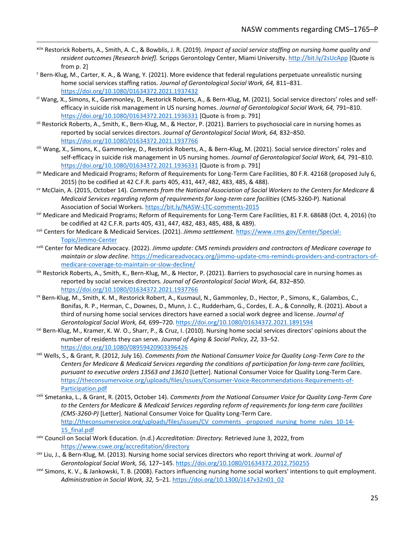- xcix Restorick Roberts, A., Smith, A. C., & Bowblis, J. R. (2019). *Impact of social service staffing on nursing home quality and resident outcomes [Research brief].* Scripps Gerontology Center, Miami University.<http://bit.ly/2sUcApp> [Quote is from p. 2]
- <sup>c</sup> Bern-Klug, M., Carter, K. A., & Wang, Y. (2021). More evidence that federal regulations perpetuate unrealistic nursing home social services staffing ratios. *Journal of Gerontological Social Work, 64,* 811–831. <https://doi.org/10.1080/01634372.2021.1937432>
- ci Wang, X., Simons, K., Gammonley, D., Restorick Roberts, A., & Bern-Klug, M. (2021). Social service directors' roles and selfefficacy in suicide risk management in US nursing homes. *Journal of Gerontological Social Work, 64,* 791–810. <https://doi.org/10.1080/01634372.2021.1936331> [Quote is from p. 791]
- cii Restorick Roberts, A., Smith, K., Bern-Klug, M., & Hector, P. (2021). Barriers to psychosocial care in nursing homes as reported by social services directors. *Journal of Gerontological Social Work, 64,* 832–850. <https://doi.org/10.1080/01634372.2021.1937766>
- ciii Wang, X., Simons, K., Gammonley, D., Restorick Roberts, A., & Bern-Klug, M. (2021). Social service directors' roles and self-efficacy in suicide risk management in US nursing homes. *Journal of Gerontological Social Work, 64,* 791–810. <https://doi.org/10.1080/01634372.2021.1936331> [Quote is from p. 791]
- civ Medicare and Medicaid Programs; Reform of Requirements for Long-Term Care Facilities, 80 F.R. 42168 (proposed July 6, 2015) (to be codified at 42 C.F.R. parts 405, 431, 447, 482, 483, 485, & 488).
- cv McClain, A. (2015, October 14). *Comments from the National Association of Social Workers to the Centers for Medicare & Medicaid Services regarding reform of requirements for long-term care facilities* (CMS-3260-P). National Association of Social Workers.<https://bit.ly/NASW-LTC-comments-2015>
- cvi Medicare and Medicaid Programs; Reform of Requirements for Long-Term Care Facilities, 81 F.R. 68688 (Oct. 4, 2016) (to be codified at 42 C.F.R. parts 405, 431, 447, 482, 483, 485, 488, & 489).
- cvii Centers for Medicare & Medicaid Services. (2021). *Jimmo settlement.* [https://www.cms.gov/Center/Special-](https://www.cms.gov/Center/Special-Topic/Jimmo-Center)[Topic/Jimmo-Center](https://www.cms.gov/Center/Special-Topic/Jimmo-Center)
- cviii Center for Medicare Advocacy. (2022). *Jimmo update: CMS reminds providers and contractors of Medicare coverage to maintain or slow decline.* [https://medicareadvocacy.org/jimmo-update-cms-reminds-providers-and-contractors-of](https://medicareadvocacy.org/jimmo-update-cms-reminds-providers-and-contractors-of-medicare-coverage-to-maintain-or-slow-decline/)[medicare-coverage-to-maintain-or-slow-decline/](https://medicareadvocacy.org/jimmo-update-cms-reminds-providers-and-contractors-of-medicare-coverage-to-maintain-or-slow-decline/)
- cix Restorick Roberts, A., Smith, K., Bern-Klug, M., & Hector, P. (2021). Barriers to psychosocial care in nursing homes as reported by social services directors. *Journal of Gerontological Social Work, 64,* 832–850. <https://doi.org/10.1080/01634372.2021.1937766>
- cx Bern-Klug, M., Smith, K. M., Restorick Robert, A., Kusmaul, N., Gammonley, D., Hector, P., Simons, K., Galambos, C., Bonifas, R. P., Herman, C., Downes, D., Munn, J. C., Rudderham, G., Cordes, E. A., & Connolly, R. (2021). About a third of nursing home social services directors have earned a social work degree and license. *Journal of Gerontological Social Work, 64,* 699–720. <https://doi.org/10.1080/01634372.2021.1891594>
- cxi Bern-Klug, M., Kramer, K. W. O., Sharr, P., & Cruz, I. (2010). Nursing home social services directors' opinions about the number of residents they can serve. *Journal of Aging & Social Policy, 22,* 33–52. <https://doi.org/10.1080/08959420903396426>
- cxii Wells, S., & Grant, R. (2012, July 16). *Comments from the National Consumer Voice for Quality Long-Term Care to the Centers for Medicare & Medicaid Services regarding the conditions of participation for long-term care facilities, pursuant to executive orders 13563 and 13610* [Letter]. National Consumer Voice for Quality Long-Term Care. [https://theconsumervoice.org/uploads/files/issues/Consumer-Voice-Recommendations-Requirements-of-](https://theconsumervoice.org/uploads/files/issues/Consumer-Voice-Recommendations-Requirements-of-Participation.pdf)[Participation.pdf](https://theconsumervoice.org/uploads/files/issues/Consumer-Voice-Recommendations-Requirements-of-Participation.pdf)
- cxiii Smetanka, L., & Grant, R. (2015, October 14). *Comments from the National Consumer Voice for Quality Long-Term Care to the Centers for Medicare & Medicaid Services regarding reform of requirements for long-term care facilities (CMS-3260-P)* [Letter]. National Consumer Voice for Quality Long-Term Care. [http://theconsumervoice.org/uploads/files/issues/CV\\_comments\\_-proposed\\_nursing\\_home\\_rules\\_10-14-](http://theconsumervoice.org/uploads/files/issues/CV_comments_-proposed_nursing_home_rules_10-14-15_final.pdf) [15\\_final.pdf](http://theconsumervoice.org/uploads/files/issues/CV_comments_-proposed_nursing_home_rules_10-14-15_final.pdf)
- cxiv Council on Social Work Education. (n.d.) *Accreditation: Directory.* Retrieved June 3, 2022, from <https://www.cswe.org/accreditation/directory>
- cxv Liu, J., & Bern-Klug, M. (2013). Nursing home social services directors who report thriving at work. *Journal of Gerontological Social Work, 56,* 127–145[. https://doi.org/10.1080/01634372.2012.750255](https://doi.org/10.1080/01634372.2012.750255)
- cxvi Simons, K. V., & Jankowski, T. B. (2008). Factors influencing nursing home social workers' intentions to quit employment. *Administration in Social Work, 32,* 5–21[. https://doi.org/10.1300/J147v32n01\\_02](https://doi.org/10.1300/J147v32n01_02)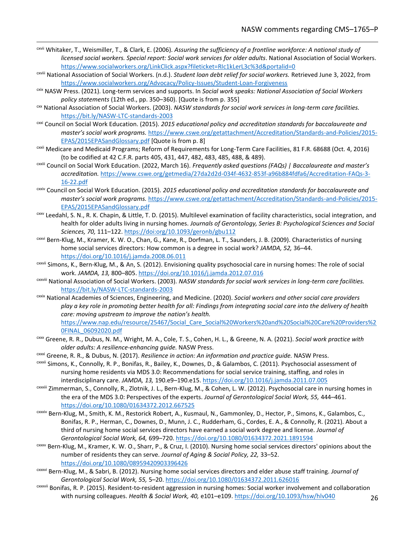- cxvii Whitaker, T., Weismiller, T., & Clark, E. (2006). *Assuring the sufficiency of a frontline workforce: A national study of licensed social workers. Special report: Social work services for older adults*. National Association of Social Workers. <https://www.socialworkers.org/LinkClick.aspx?fileticket=RIc1kLerL3c%3d&portalid=0>
- cxviii National Association of Social Workers. (n.d.). *Student loan debt relief for social workers.* Retrieved June 3, 2022, from <https://www.socialworkers.org/Advocacy/Policy-Issues/Student-Loan-Forgiveness>
- cxix NASW Press. (2021). Long-term services and supports. In *Social work speaks: National Association of Social Workers policy statements* (12th ed., pp. 350–360). [Quote is from p. 355]
- cxx National Association of Social Workers. (2003). *NASW standards for social work services in long-term care facilities.*  <https://bit.ly/NASW-LTC-standards-2003>
- cxxi Council on Social Work Education. (2015). *2015 educational policy and accreditation standards for baccalaureate and master's social work programs.* [https://www.cswe.org/getattachment/Accreditation/Standards-and-Policies/2015-](https://www.cswe.org/getattachment/Accreditation/Standards-and-Policies/2015-EPAS/2015EPASandGlossary.pdf) [EPAS/2015EPASandGlossary.pdf](https://www.cswe.org/getattachment/Accreditation/Standards-and-Policies/2015-EPAS/2015EPASandGlossary.pdf) [Quote is from p. 8]
- cxxii Medicare and Medicaid Programs; Reform of Requirements for Long-Term Care Facilities, 81 F.R. 68688 (Oct. 4, 2016) (to be codified at 42 C.F.R. parts 405, 431, 447, 482, 483, 485, 488, & 489).
- cxxiii Council on Social Work Education. (2022, March 16). *Frequently asked questions (FAQs) | Baccalaureate and master's accreditation.* [https://www.cswe.org/getmedia/27da2d2d-034f-4632-853f-a96b884fdfa6/Accreditation-FAQs-3-](https://www.cswe.org/getmedia/27da2d2d-034f-4632-853f-a96b884fdfa6/Accreditation-FAQs-3-16-22.pdf) [16-22.pdf](https://www.cswe.org/getmedia/27da2d2d-034f-4632-853f-a96b884fdfa6/Accreditation-FAQs-3-16-22.pdf)
- cxxiv Council on Social Work Education. (2015). *2015 educational policy and accreditation standards for baccalaureate and master's social work programs.* [https://www.cswe.org/getattachment/Accreditation/Standards-and-Policies/2015-](https://www.cswe.org/getattachment/Accreditation/Standards-and-Policies/2015-EPAS/2015EPASandGlossary.pdf) [EPAS/2015EPASandGlossary.pdf](https://www.cswe.org/getattachment/Accreditation/Standards-and-Policies/2015-EPAS/2015EPASandGlossary.pdf)
- cxxv Leedahl, S. N., R. K. Chapin, & Little, T. D. (2015). Multilevel examination of facility characteristics, social integration, and health for older adults living in nursing homes. *Journals of Gerontology, Series B: Psychological Sciences and Social Sciences, 70,* 111–122[. https://doi:org/10.1093/geronb/gbu112](https://doi:org/10.1093/geronb/gbu112)
- cxxvi Bern-Klug, M., Kramer, K. W. O., Chan, G., Kane, R., Dorfman, L. T., Saunders, J. B. (2009). Characteristics of nursing home social services directors: How common is a degree in social work? *JAMDA, 52,* 36–44. <https://doi.org/10.1016/j.jamda.2008.06.011>
- cxxvii Simons, K., Bern-Klug, M., & An, S. (2012). Envisioning quality psychosocial care in nursing homes: The role of social work. *JAMDA, 13,* 800–805[. https://doi.org/10.1016/j.jamda.2012.07.016](https://doi.org/10.1016/j.jamda.2012.07.016)
- cxxviii National Association of Social Workers. (2003). *NASW standards for social work services in long-term care facilities.*  <https://bit.ly/NASW-LTC-standards-2003>
- cxxix National Academies of Sciences, Engineering, and Medicine. (2020). *Social workers and other social care providers play a key role in promoting better health for all: Findings from integrating social care into the delivery of health care: moving upstream to improve the nation's health.*

[https://www.nap.edu/resource/25467/Social\\_Care\\_Social%20Workers%20and%20Social%20Care%20Providers%2](https://www.nap.edu/resource/25467/Social_Care_Social%20Workers%20and%20Social%20Care%20Providers%20FINAL_06092020.pdf) [0FINAL\\_06092020.pdf](https://www.nap.edu/resource/25467/Social_Care_Social%20Workers%20and%20Social%20Care%20Providers%20FINAL_06092020.pdf)

- cxxx Greene, R. R., Dubus, N. M., Wright, M. A., Cole, T. S., Cohen, H. L., & Greene, N. A. (2021). *Social work practice with older adults: A resilience-enhancing guide.* NASW Press.
- cxxxi Greene, R. R., & Dubus, N. (2017). *Resilience in action: An information and practice guide.* NASW Press.
- cxxxii Simons, K., Connolly, R. P., Bonifas, R., Bailey, K., Downes, D., & Galambos, C. (2011). Psychosocial assessment of nursing home residents via MDS 3.0: Recommendations for social service training, staffing, and roles in interdisciplinary care. *JAMDA, 13,* 190.e9–190.e15.<https://doi.org/10.1016/j.jamda.2011.07.005>
- cxxxiii Zimmerman, S., Connolly, R., Zlotnik, J. L., Bern-Klug, M., & Cohen, L. W. (2012). Psychosocial care in nursing homes in the era of the MDS 3.0: Perspectives of the experts. *Journal of Gerontological Social Work, 55,* 444–461. <https://doi.org/10.1080/01634372.2012.667525>
- cxxxiv Bern-Klug, M., Smith, K. M., Restorick Robert, A., Kusmaul, N., Gammonley, D., Hector, P., Simons, K., Galambos, C., Bonifas, R. P., Herman, C., Downes, D., Munn, J. C., Rudderham, G., Cordes, E. A., & Connolly, R. (2021). About a third of nursing home social services directors have earned a social work degree and license. *Journal of Gerontological Social Work, 64,* 699–720[. https://doi.org/10.1080/01634372.2021.1891594](https://doi.org/10.1080/01634372.2021.1891594)
- cxxxv Bern-Klug, M., Kramer, K. W. O., Sharr, P., & Cruz, I. (2010). Nursing home social services directors' opinions about the number of residents they can serve. *Journal of Aging & Social Policy, 22,* 33–52. <https://doi.org/10.1080/08959420903396426>
- cxxxvi Bern-Klug, M., & Sabri, B. (2012). Nursing home social services directors and elder abuse staff training. *Journal of Gerontological Social Work, 55,* 5–20[. https://doi.org/10.1080/01634372.2011.626016](https://doi.org/10.1080/01634372.2011.626016)
- cxxxvii Bonifas, R. P. (2015). Resident-to-resident aggression in nursing homes: Social worker involvement and collaboration with nursing colleagues. *Health & Social Work, 40,* e101–e109.<https://doi.org/10.1093/hsw/hlv040>